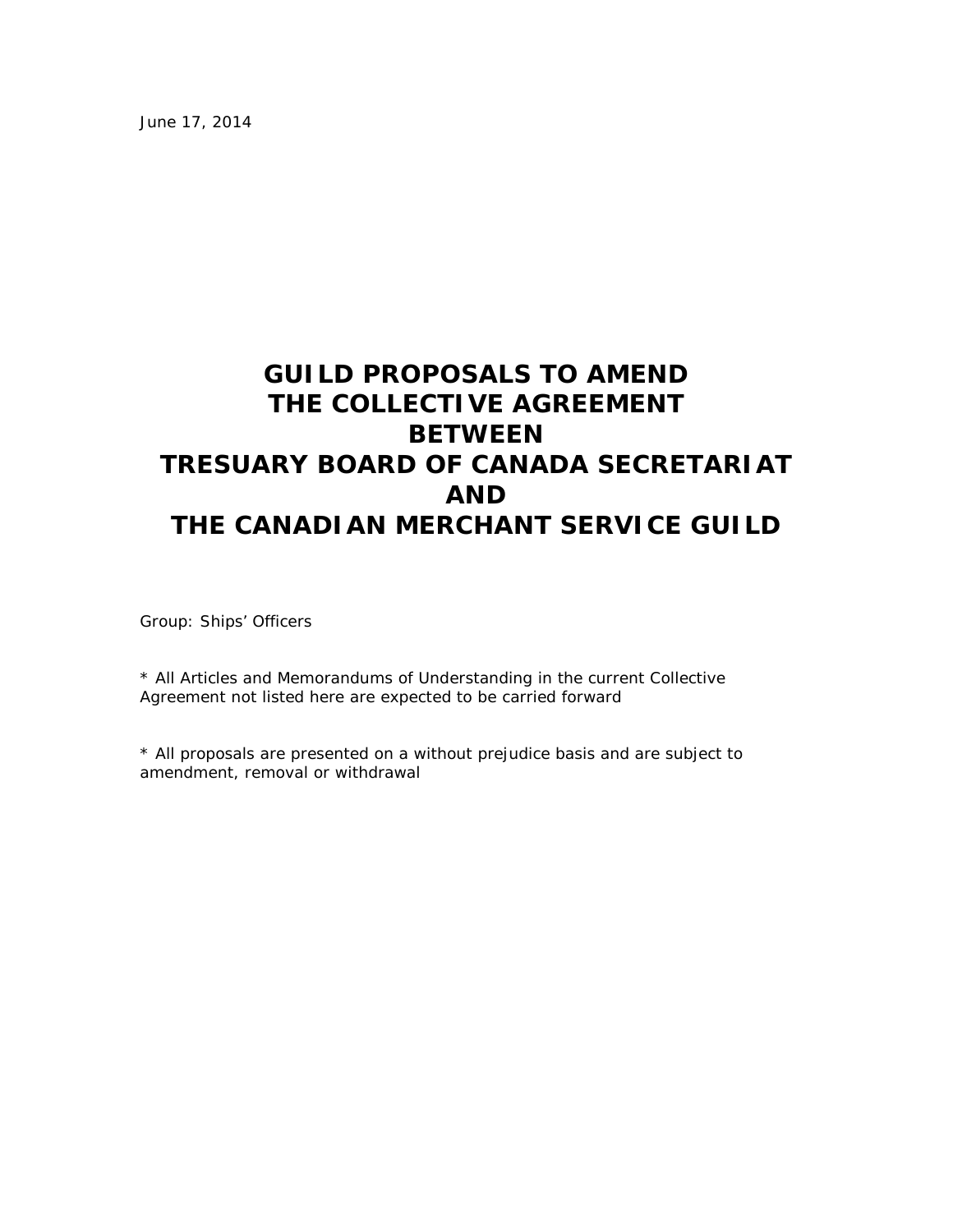June 17, 2014

# **GUILD PROPOSALS TO AMEND THE COLLECTIVE AGREEMENT BETWEEN TRESUARY BOARD OF CANADA SECRETARIAT AND THE CANADIAN MERCHANT SERVICE GUILD**

Group: Ships' Officers

\* All Articles and Memorandums of Understanding in the current Collective Agreement not listed here are expected to be carried forward

\* All proposals are presented on a without prejudice basis and are subject to amendment, removal or withdrawal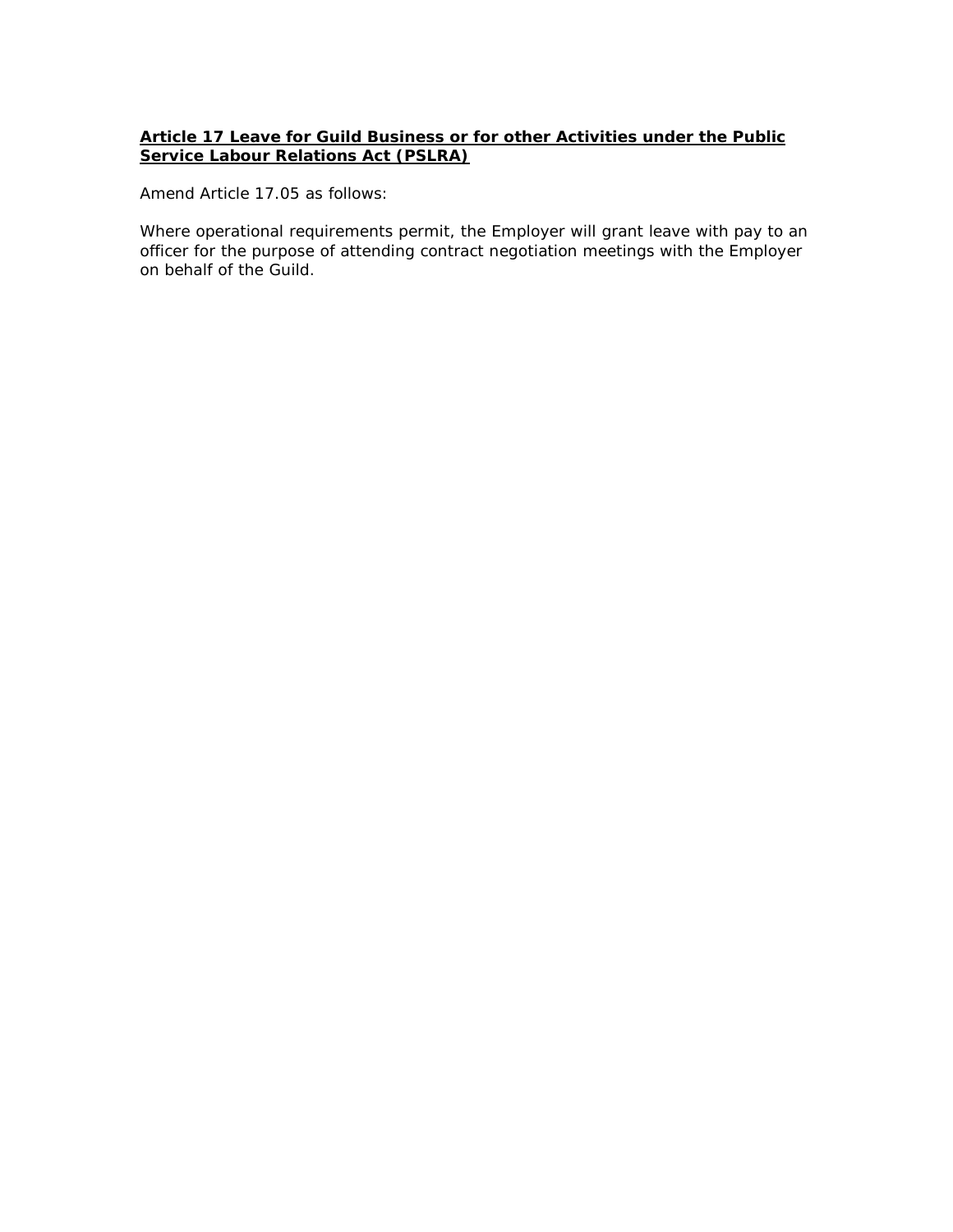### **Article 17 Leave for Guild Business or for other Activities under the Public Service Labour Relations Act (PSLRA)**

*Amend Article 17.05 as follows:*

Where operational requirements permit, the Employer will grant *leave with pay* to an officer for the purpose of attending contract negotiation meetings with the Employer on behalf of the Guild.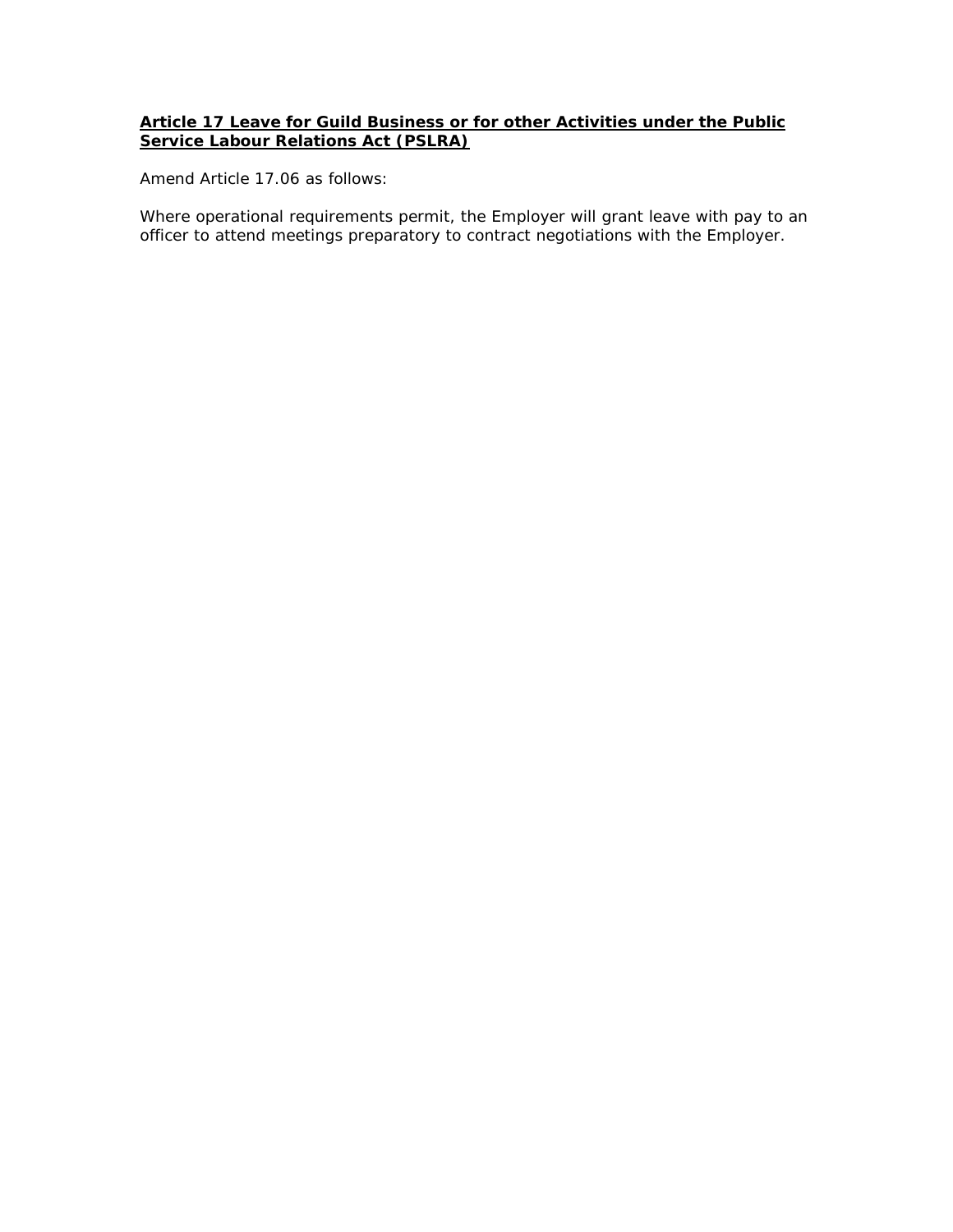### **Article 17 Leave for Guild Business or for other Activities under the Public Service Labour Relations Act (PSLRA)**

*Amend Article 17.06 as follows:*

Where operational requirements permit, the Employer will grant *leave with pay* to an officer to attend meetings preparatory to contract negotiations with the Employer.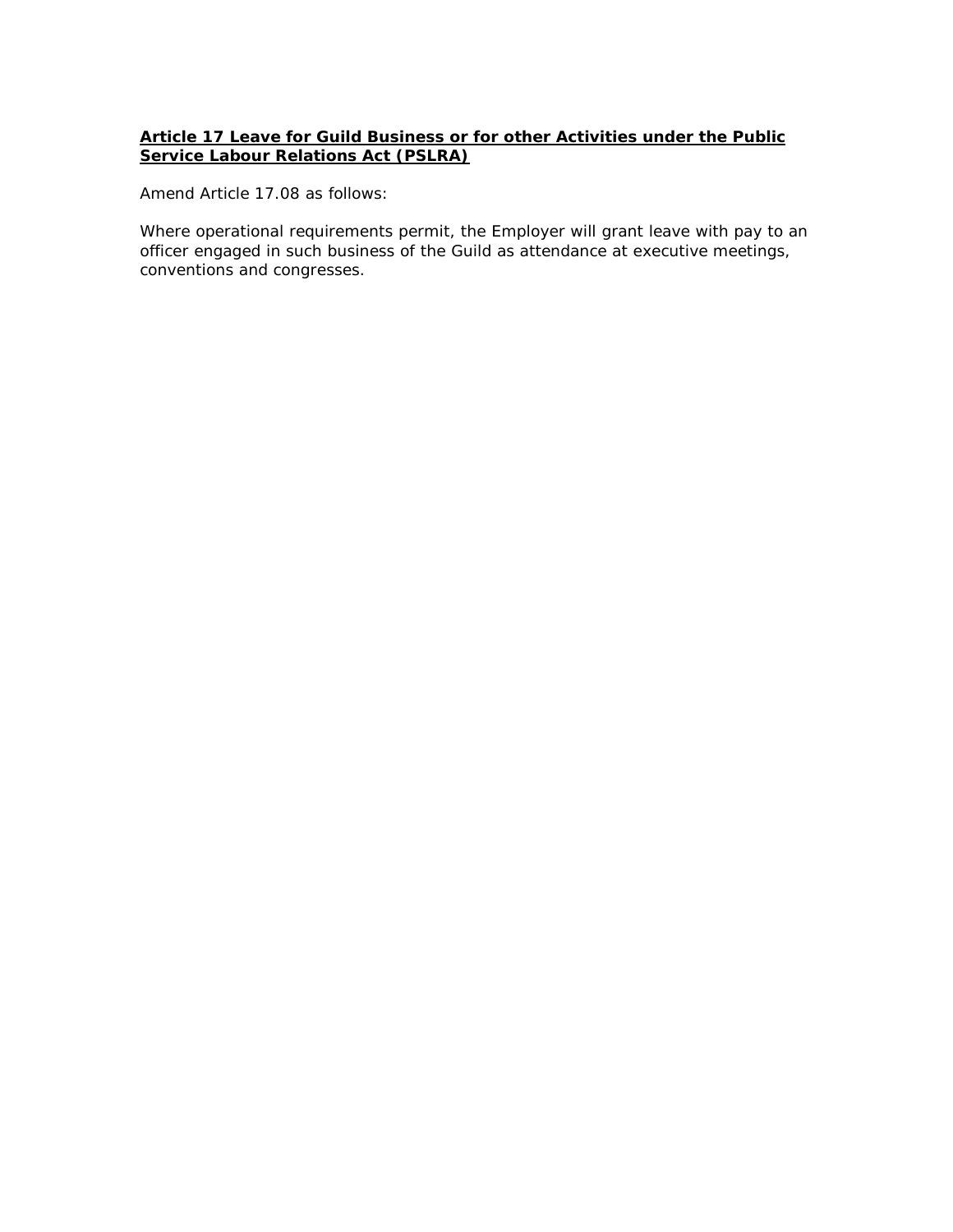### **Article 17 Leave for Guild Business or for other Activities under the Public Service Labour Relations Act (PSLRA)**

*Amend Article 17.08 as follows:*

Where operational requirements permit, the Employer will grant *leave with pay* to an officer engaged in such business of the Guild as attendance at executive meetings, conventions and congresses.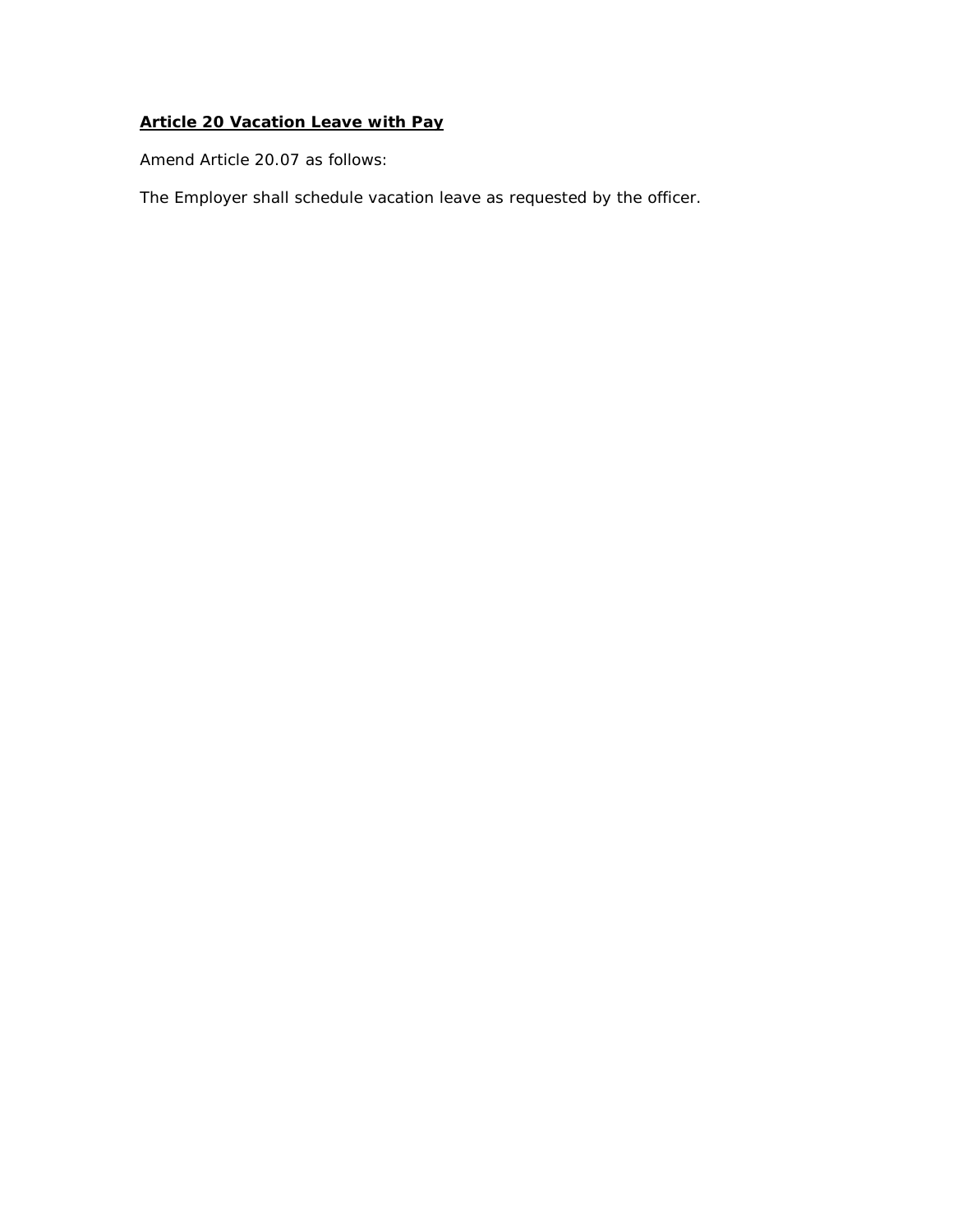# **Article 20 Vacation Leave with Pay**

*Amend Article 20.07 as follows:*

The Employer shall schedule vacation leave as requested by the officer.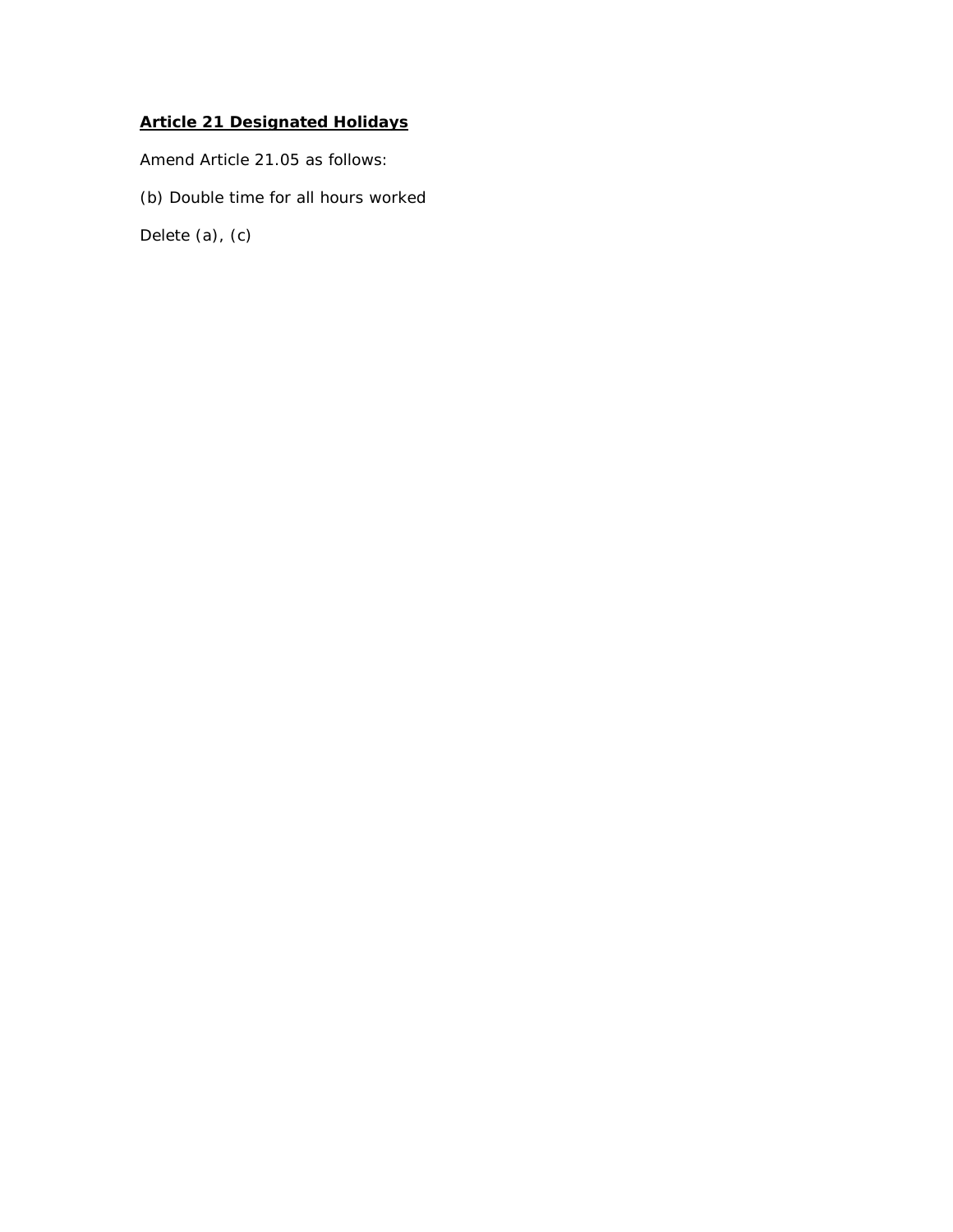# **Article 21 Designated Holidays**

*Amend Article 21.05 as follows:*

(b) Double time for all hours worked

Delete (a), (c)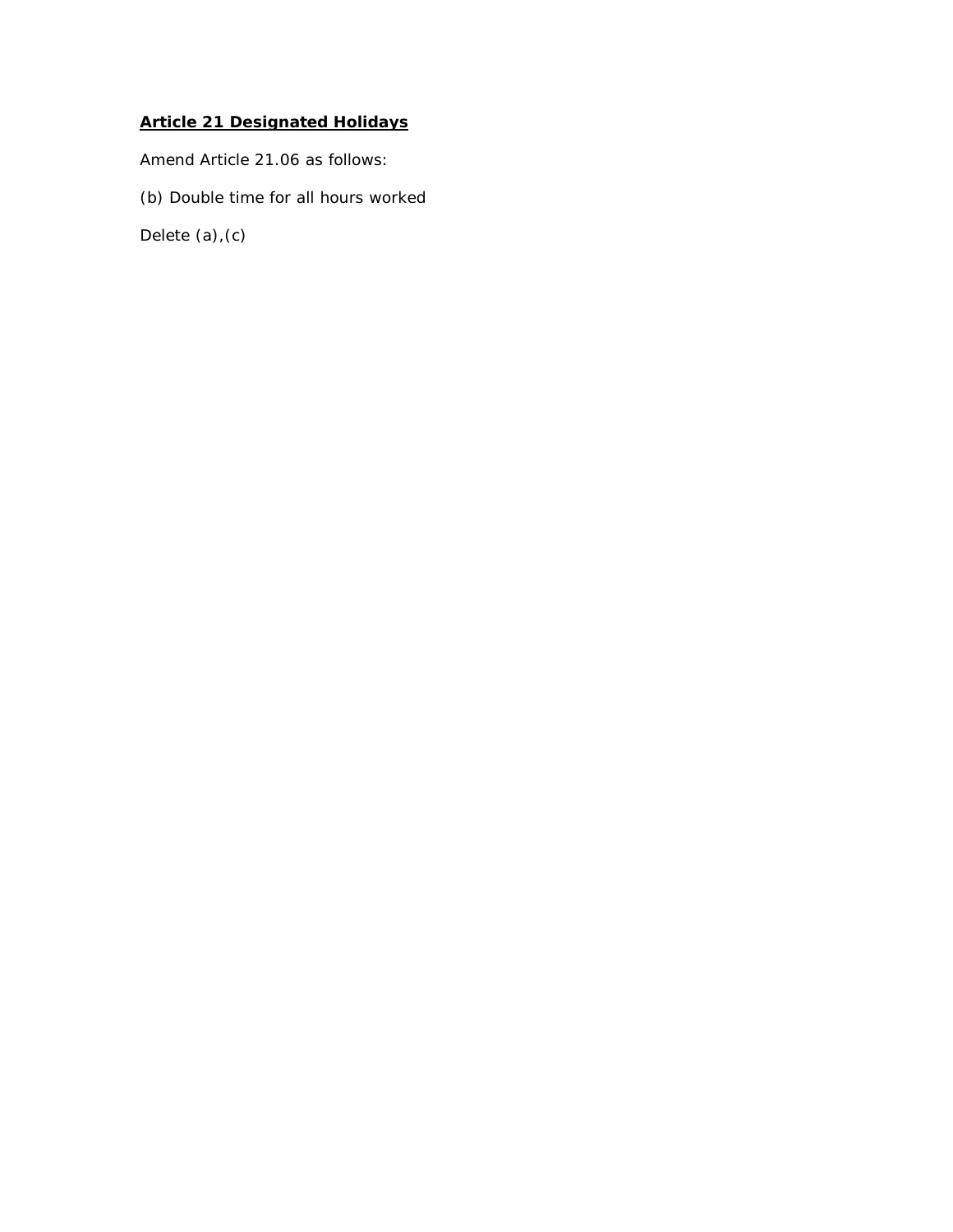# **Article 21 Designated Holidays**

*Amend Article 21.06 as follows:*

(b) Double time for all hours worked

Delete (a),(c)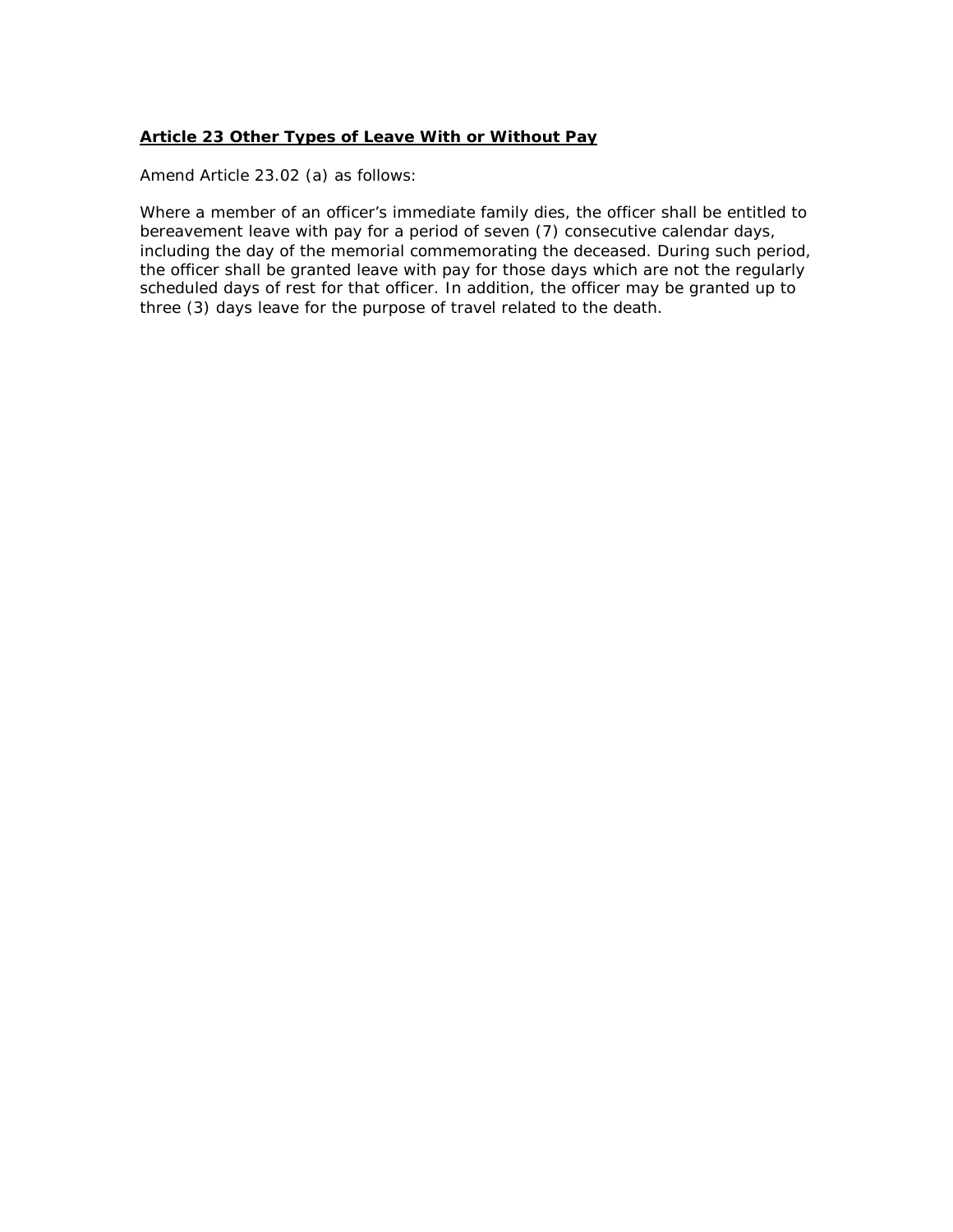#### **Article 23 Other Types of Leave With or Without Pay**

*Amend Article 23.02 (a) as follows:*

Where a member of an officer's immediate family dies, the officer shall be entitled to bereavement leave with pay for a period of *seven (7)* consecutive calendar days, including the day of the memorial commemorating the deceased. During such period, the officer shall be granted leave with pay for those days which are not the regularly scheduled days of rest for that officer. In addition, the officer may be granted up to three (3) days leave for the purpose of travel related to the death.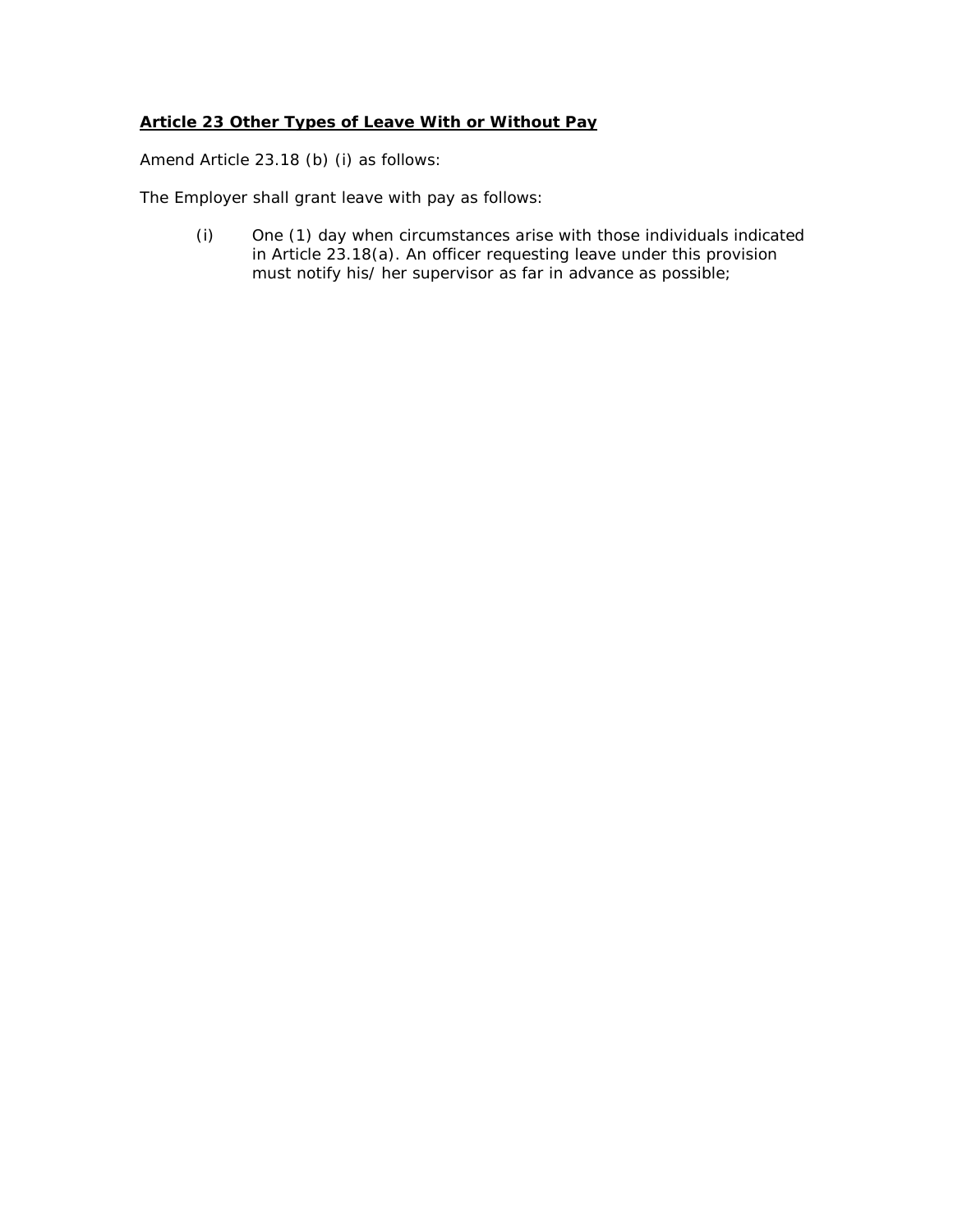#### **Article 23 Other Types of Leave With or Without Pay**

*Amend Article 23.18 (b) (i) as follows:*

The Employer shall grant leave with pay as follows:

(i) One (1) day when circumstances arise with those individuals indicated in Article 23.18(a). An officer requesting leave under this provision must notify his/ her supervisor as far in advance as possible;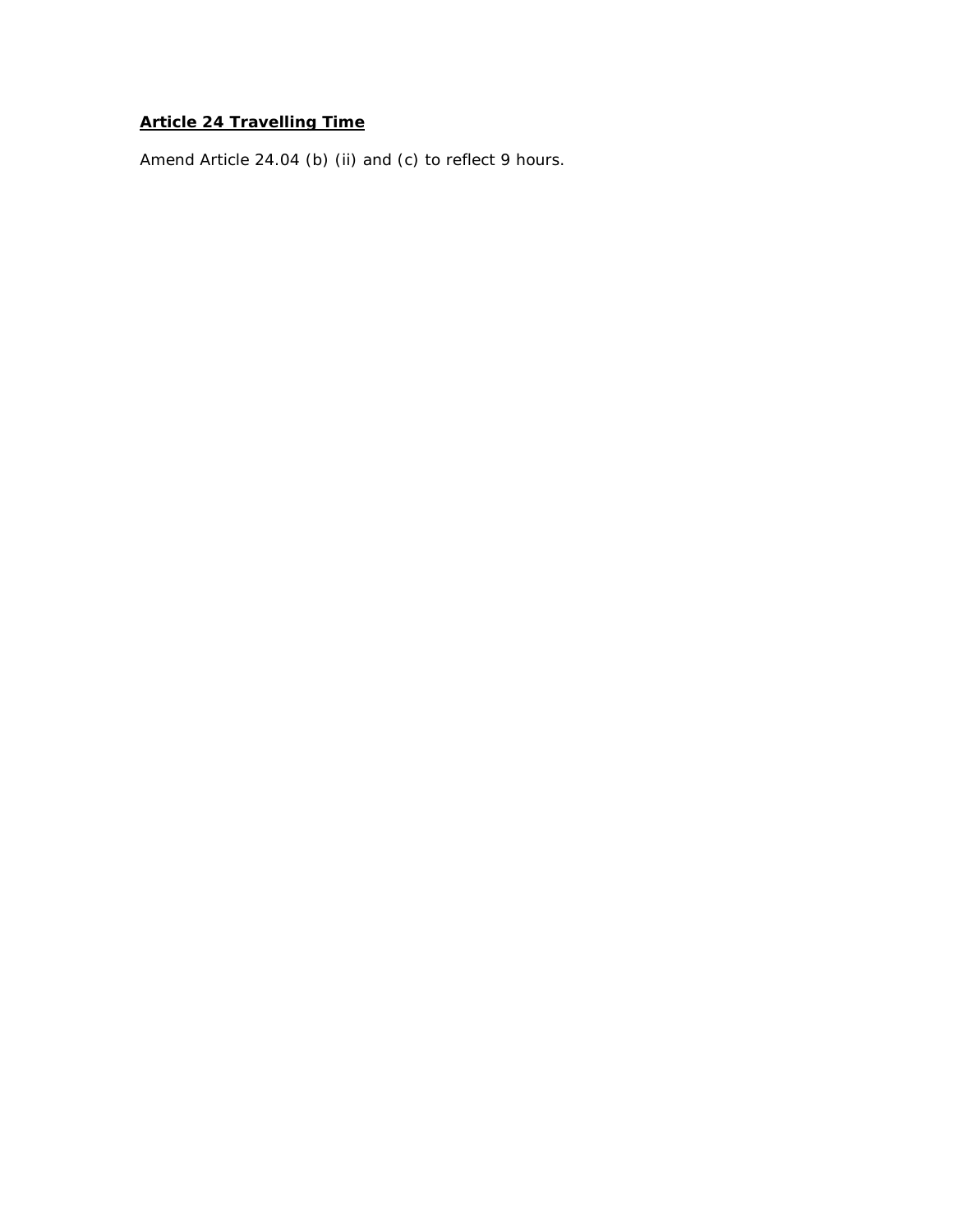# **Article 24 Travelling Time**

*Amend Article 24.04 (b) (ii) and (c) to reflect 9 hours.*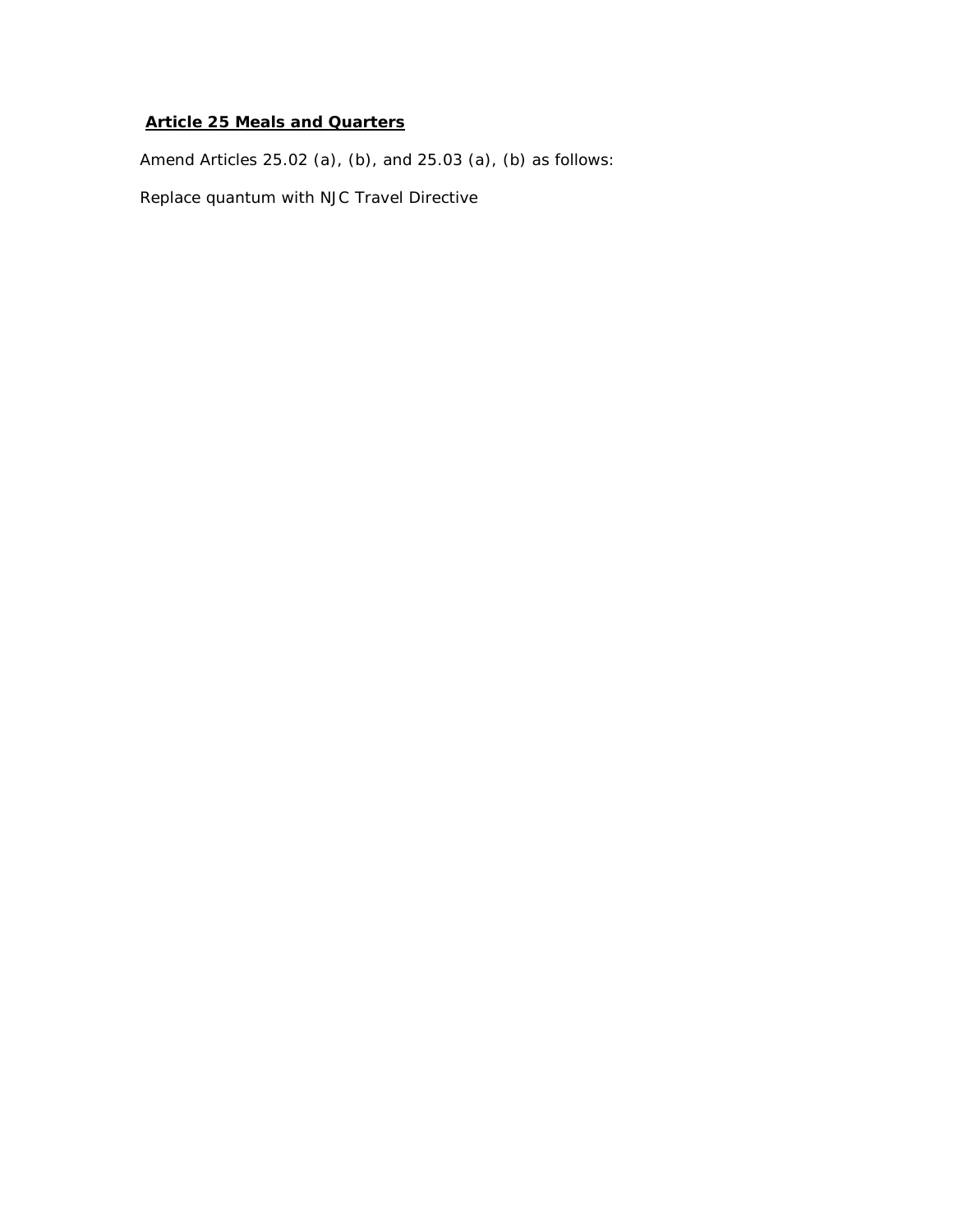# **Article 25 Meals and Quarters**

*Amend Articles 25.02 (a), (b), and 25.03 (a), (b) as follows:*

Replace quantum with NJC Travel Directive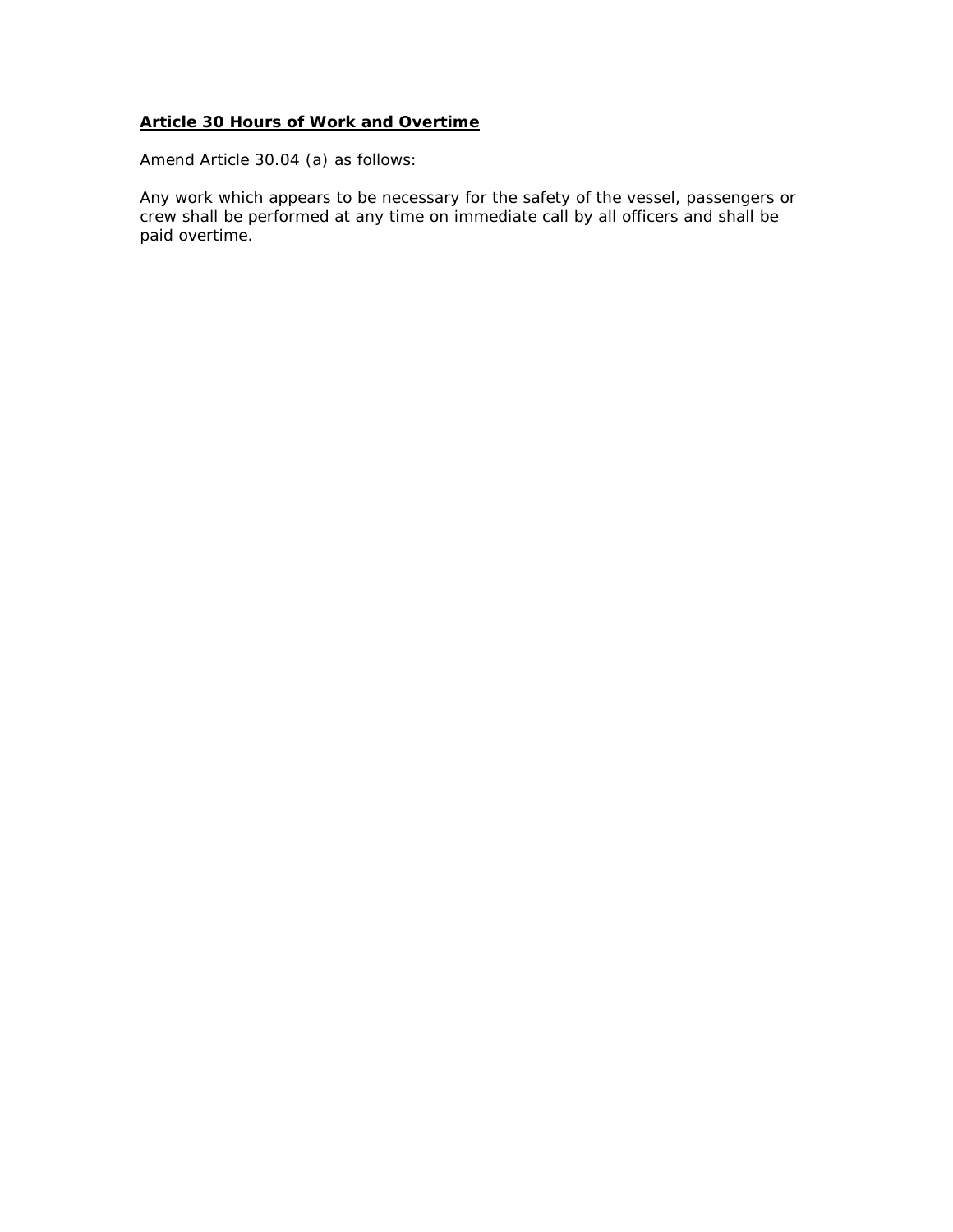*Amend Article 30.04 (a) as follows:*

Any work which appears to be necessary for the safety of the vessel, passengers or crew shall be performed at any time on immediate call by all officers and shall be paid overtime.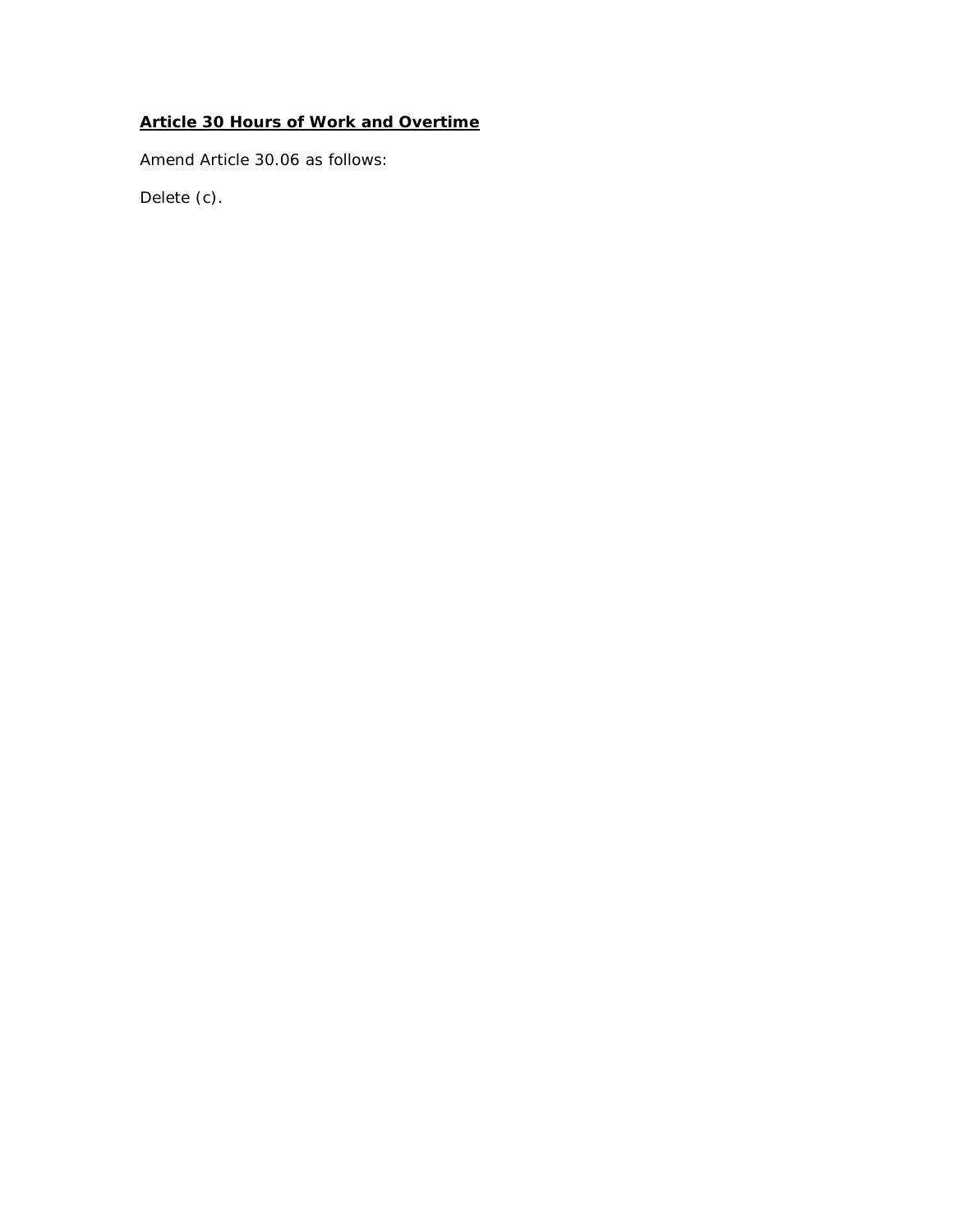*Amend Article 30.06 as follows:*

Delete (c).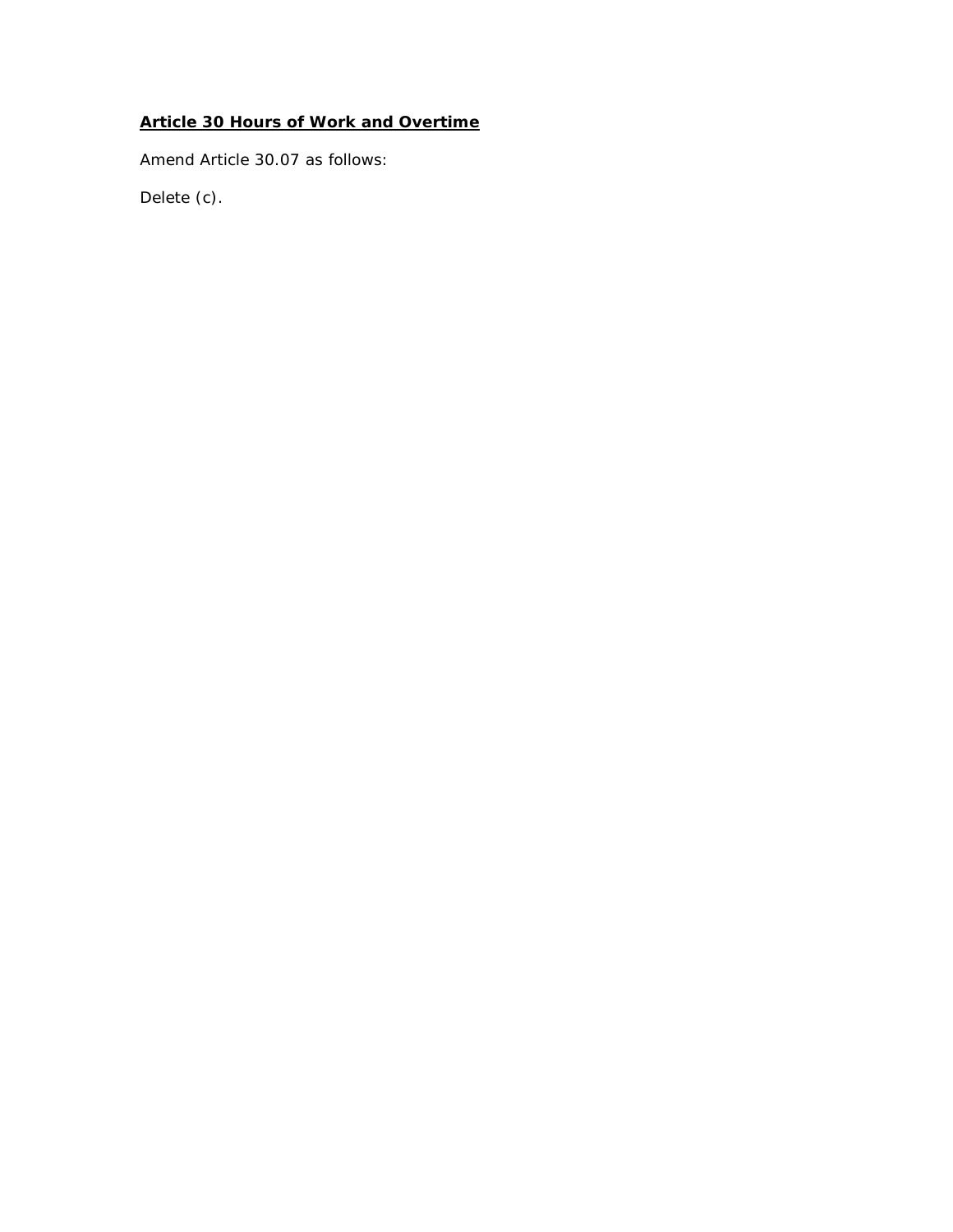*Amend Article 30.07 as follows:*

Delete (c).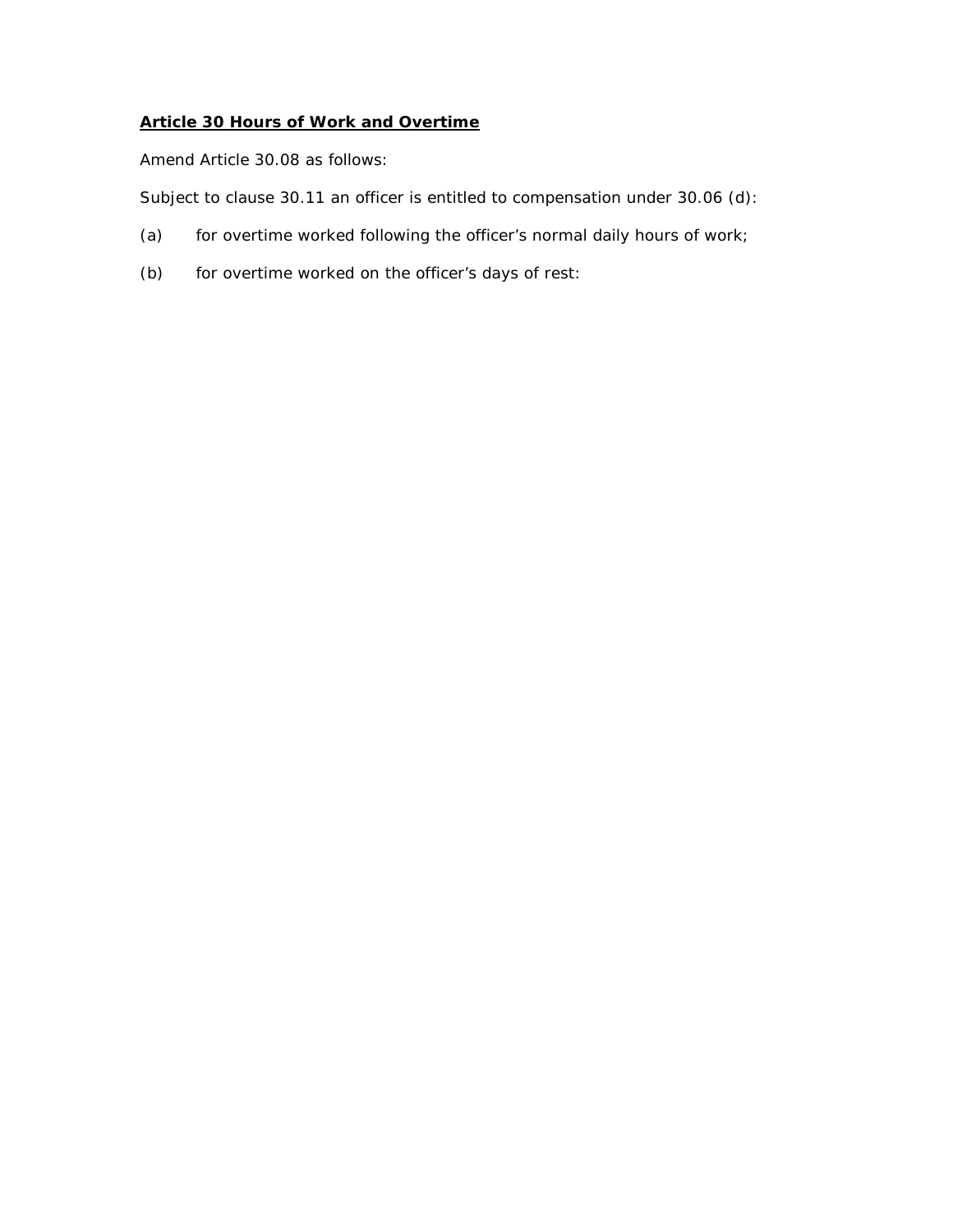*Amend Article 30.08 as follows:*

Subject to clause 30.11 an officer is entitled to compensation under 30.06 (d):

- (a) for overtime worked following the officer's normal daily hours of work;
- (b) for overtime worked on the officer's days of rest: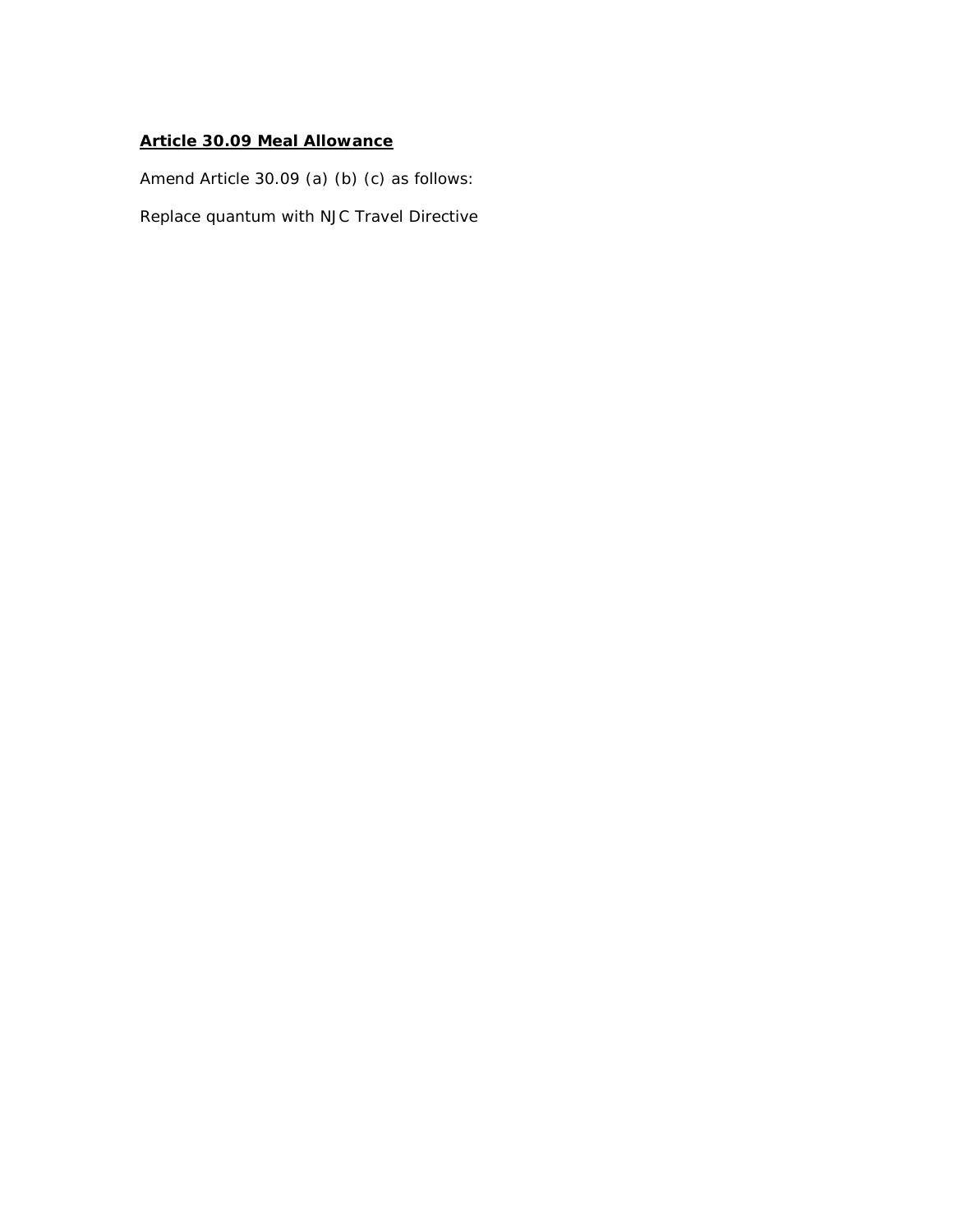### **Article 30.09 Meal Allowance**

*Amend Article 30.09 (a) (b) (c) as follows:*

Replace quantum with NJC Travel Directive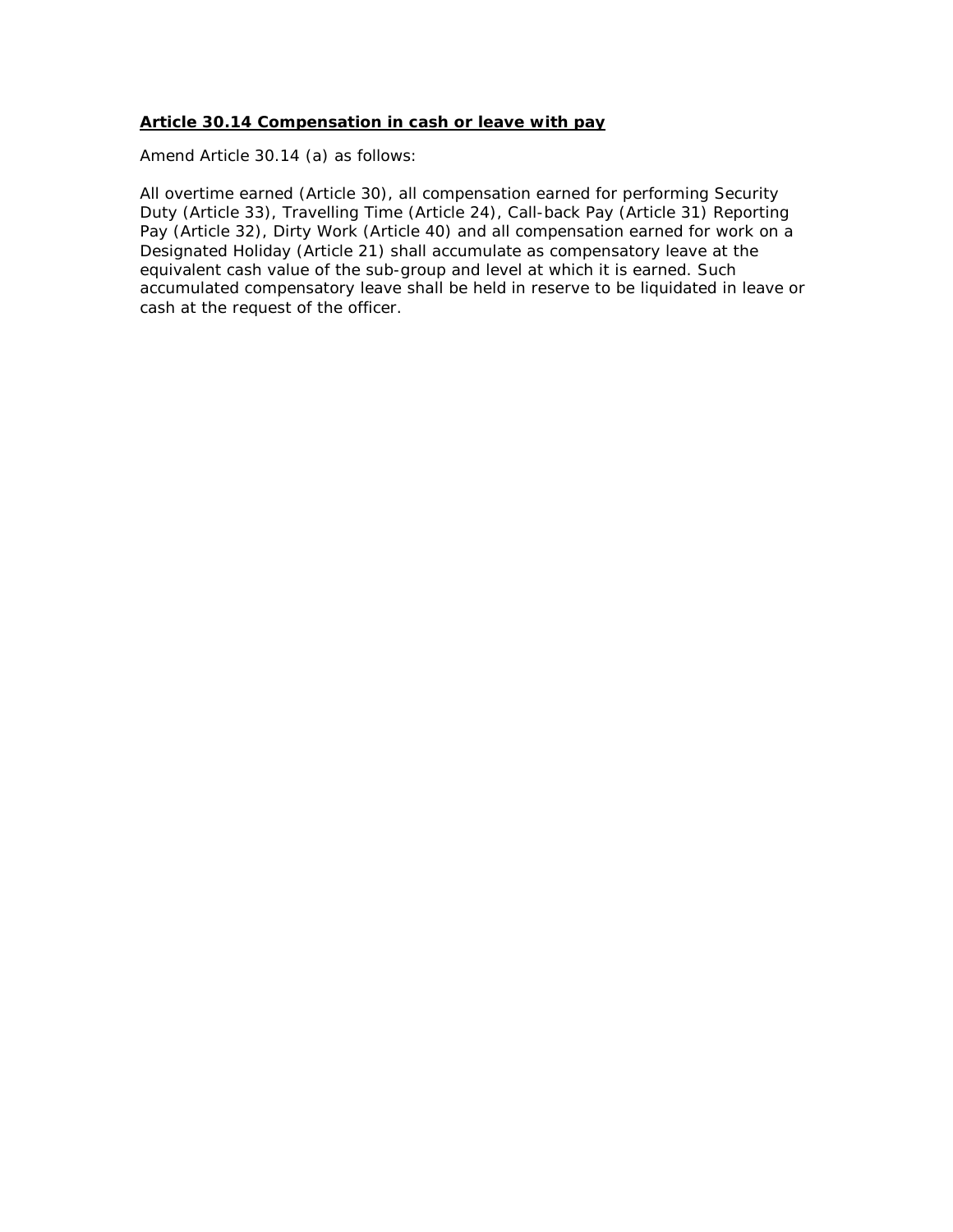#### **Article 30.14 Compensation in cash or leave with pay**

*Amend Article 30.14 (a) as follows:*

All overtime earned (Article 30), all compensation earned for performing Security Duty (Article 33), Travelling Time (Article 24), Call-back Pay (Article 31) Reporting Pay (Article 32), Dirty Work (Article 40) and all compensation earned for work on a Designated Holiday (Article 21) shall accumulate as compensatory leave at the equivalent cash value of the sub-group and level at which it is earned. Such accumulated compensatory leave shall be held in reserve to be liquidated in leave or cash at the request of the officer.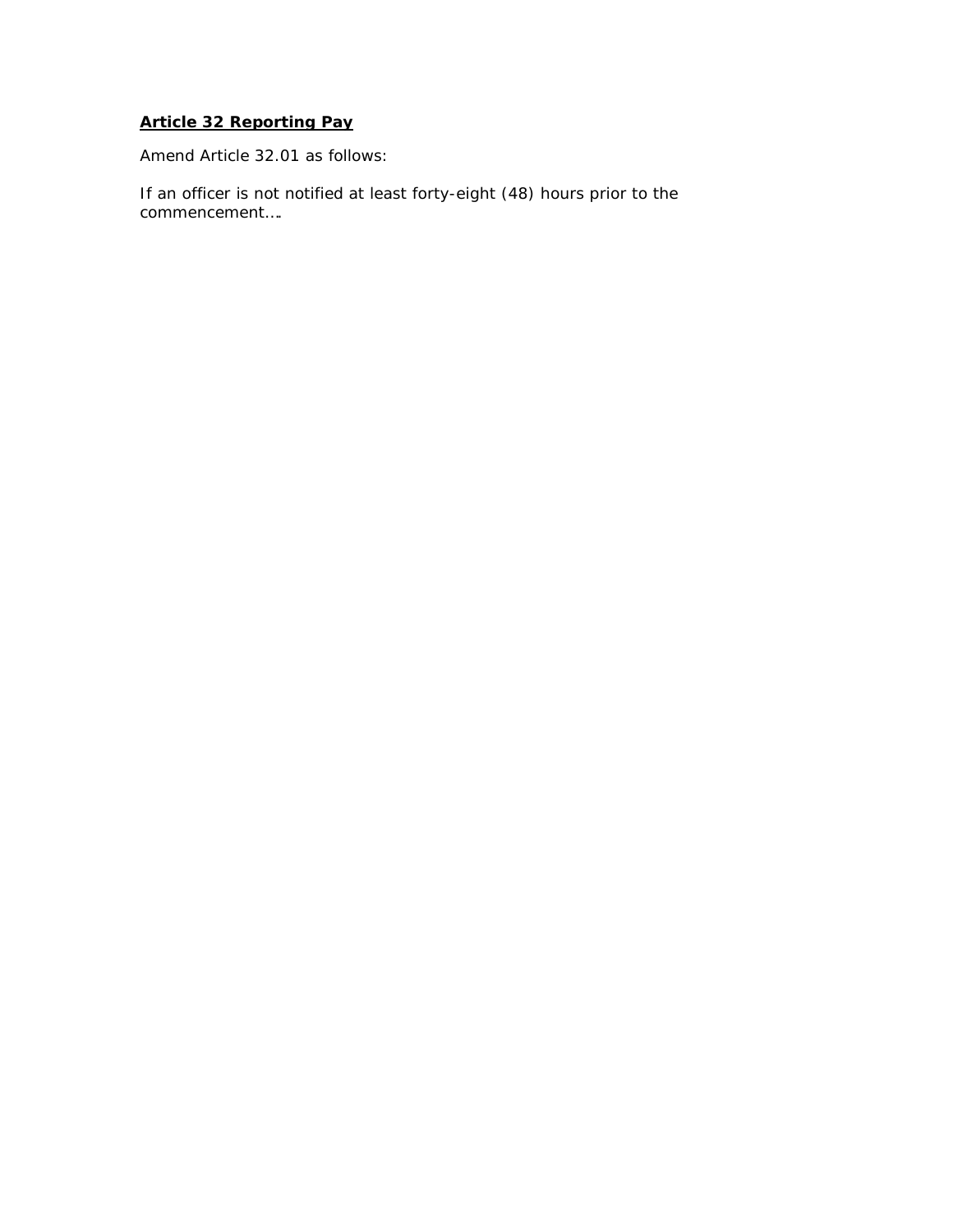# **Article 32 Reporting Pay**

*Amend Article 32.01 as follows:*

If an officer *is not notified* at least forty-eight (48) hours prior to the commencement….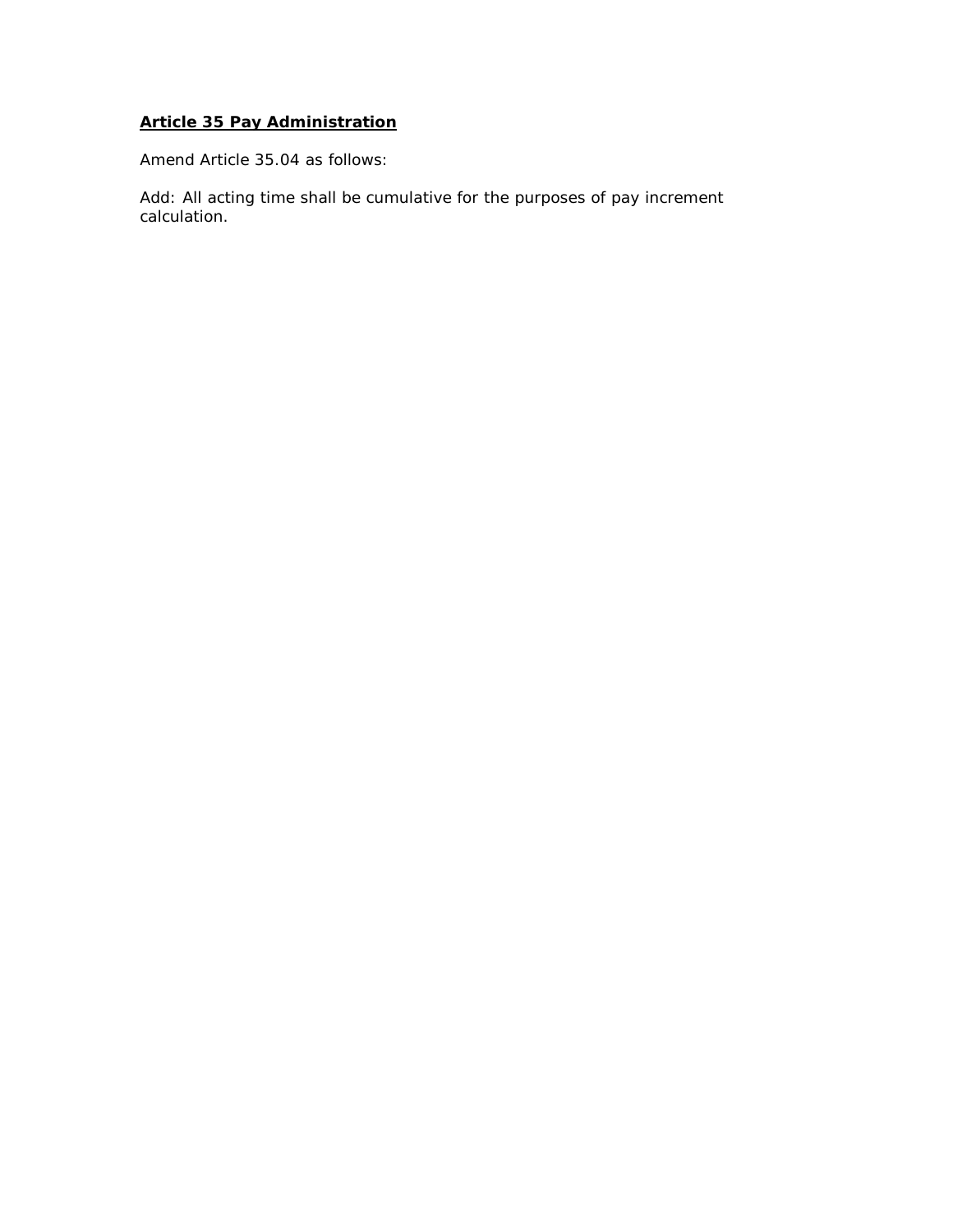# **Article 35 Pay Administration**

*Amend Article 35.04 as follows:*

Add: All acting time shall be cumulative for the purposes of pay increment calculation.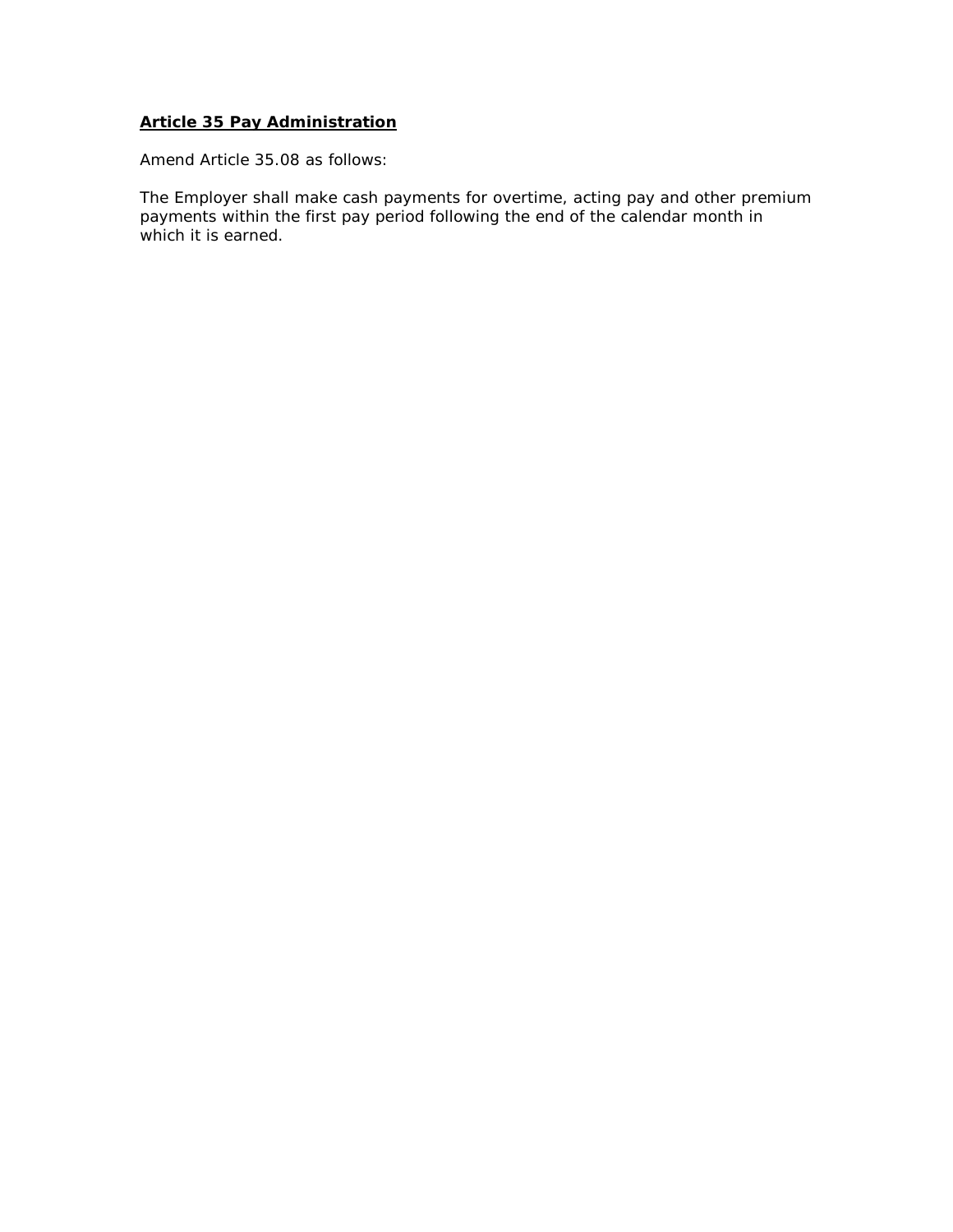#### **Article 35 Pay Administration**

*Amend Article 35.08 as follows:*

The Employer shall make cash payments for overtime, acting pay and other premium payments within the first pay period following the end of the calendar month in which it is earned.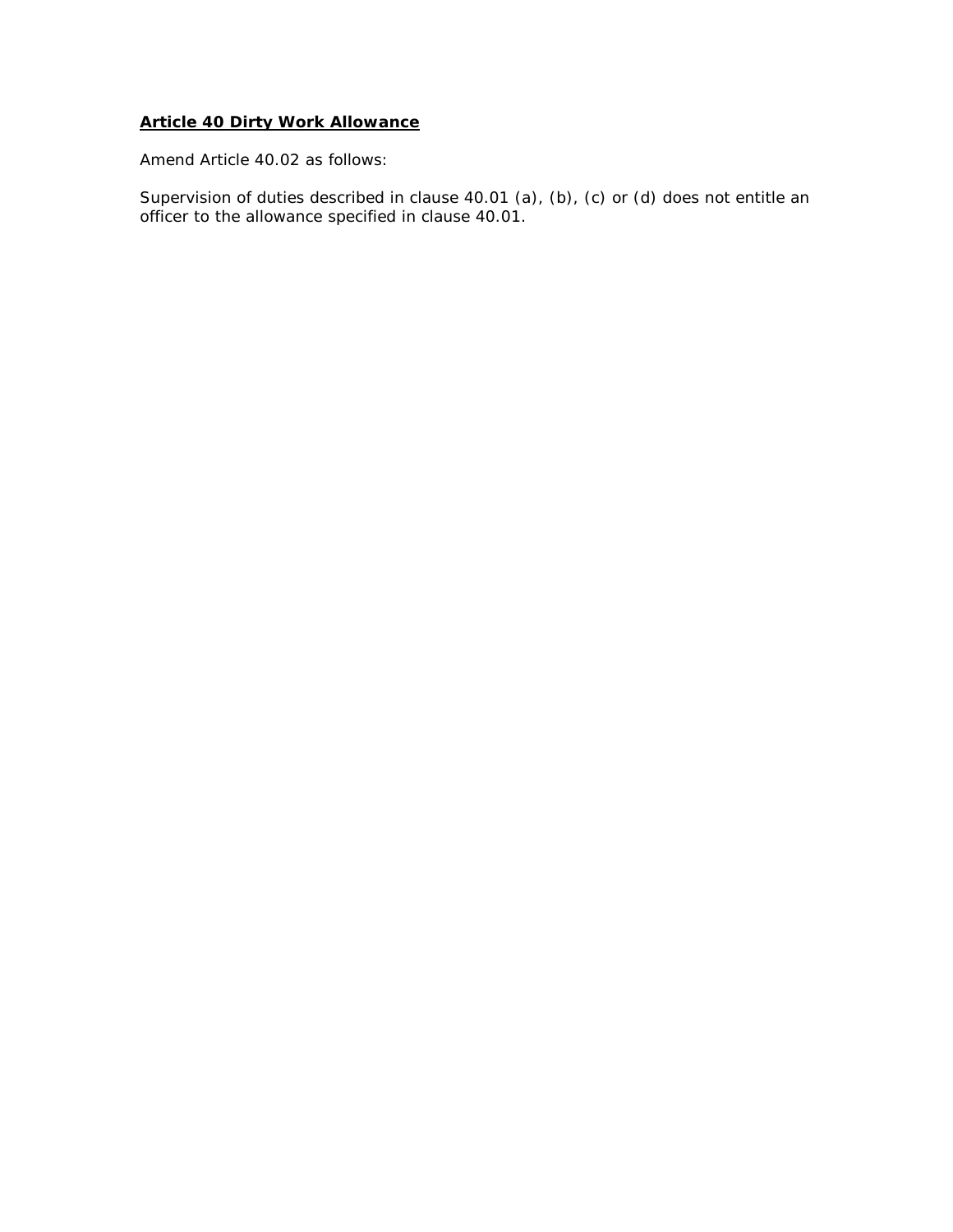### **Article 40 Dirty Work Allowance**

*Amend Article 40.02 as follows:*

Supervision of duties described in clause 40.01 (a), (b), (c) or (d) does not entitle an officer to the allowance specified in clause 40.01.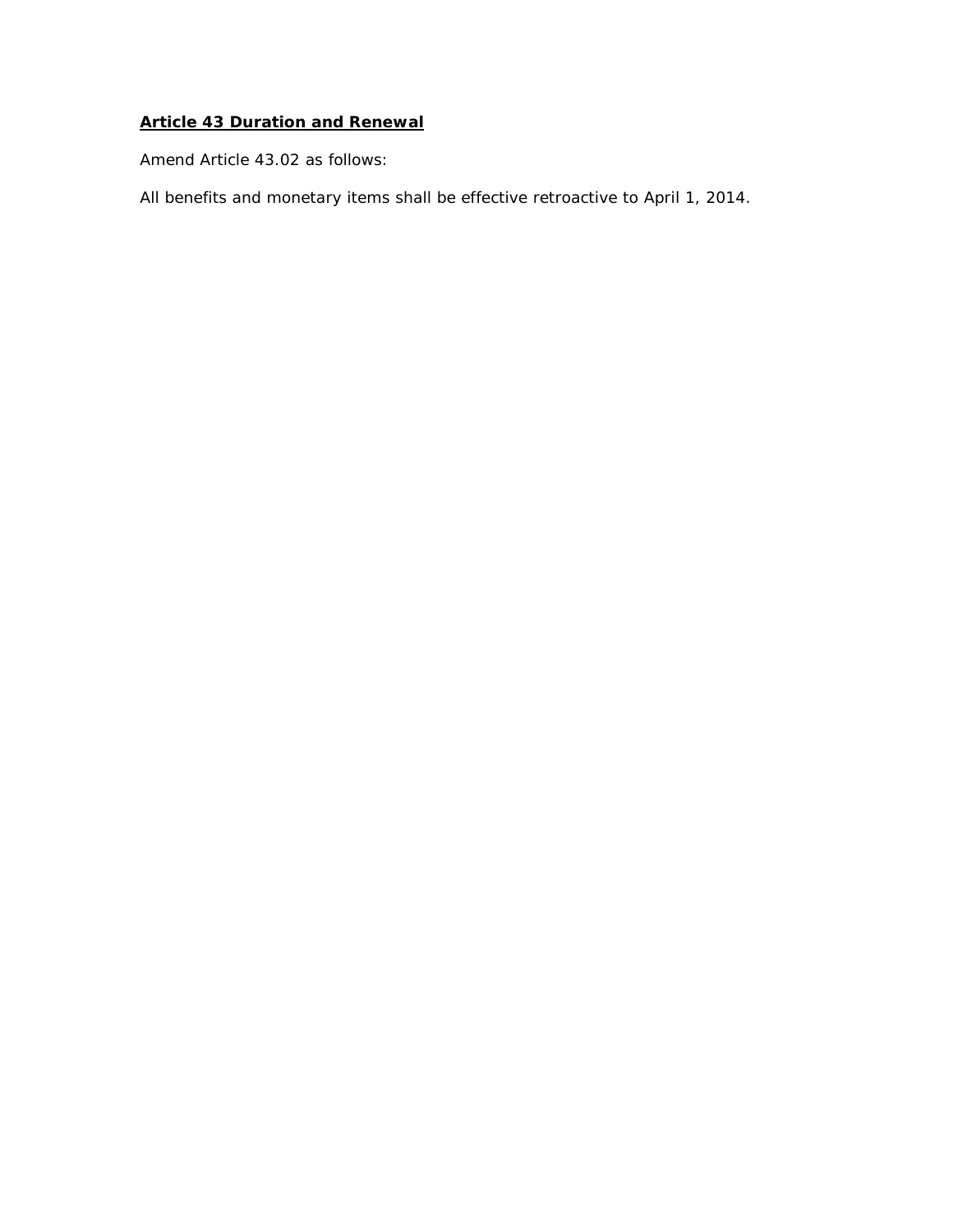# **Article 43 Duration and Renewal**

*Amend Article 43.02 as follows:*

All benefits and monetary items shall be effective retroactive to April 1, 2014.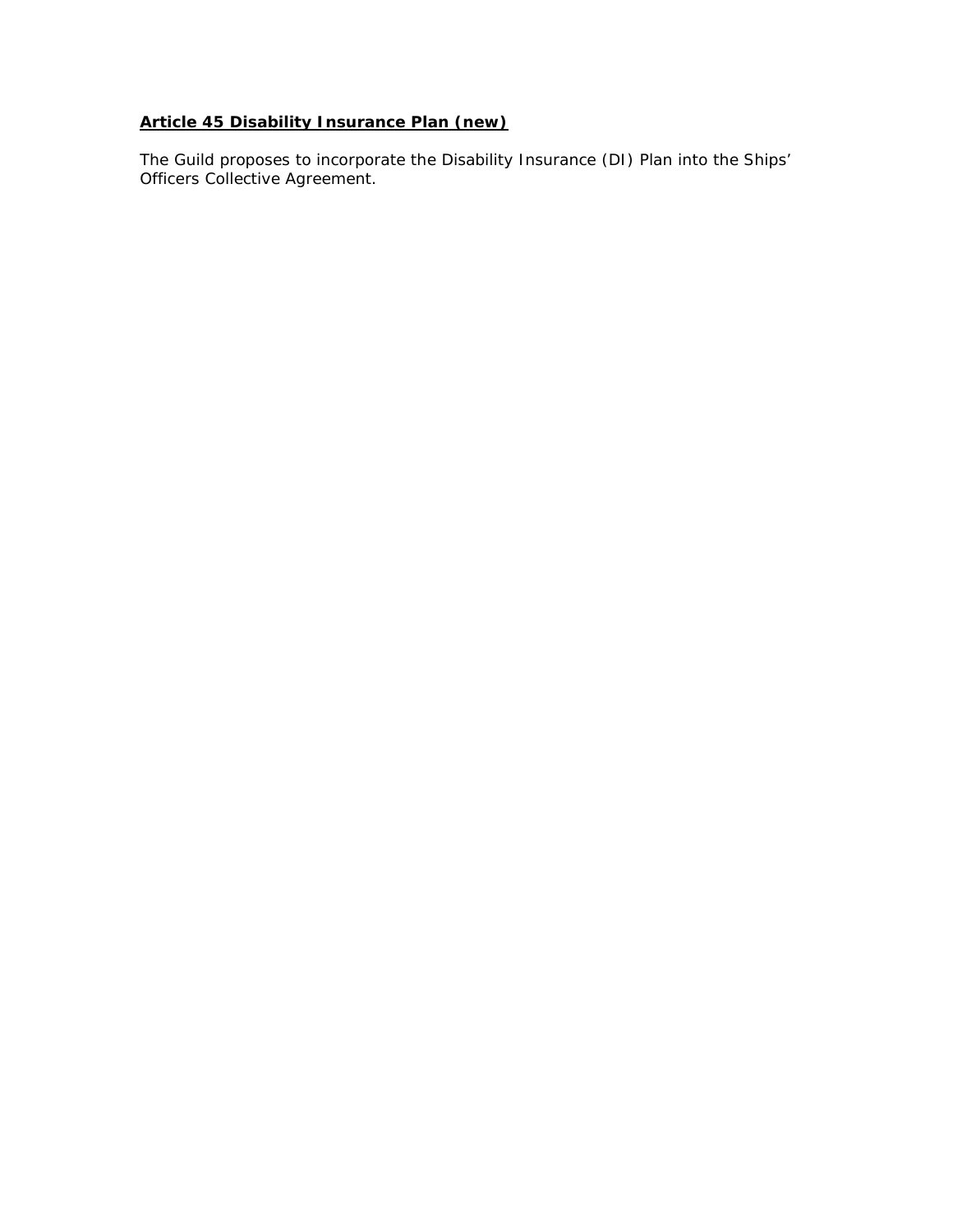# **Article 45 Disability Insurance Plan (new)**

*The Guild proposes to incorporate the Disability Insurance (DI) Plan into the Ships' Officers Collective Agreement.*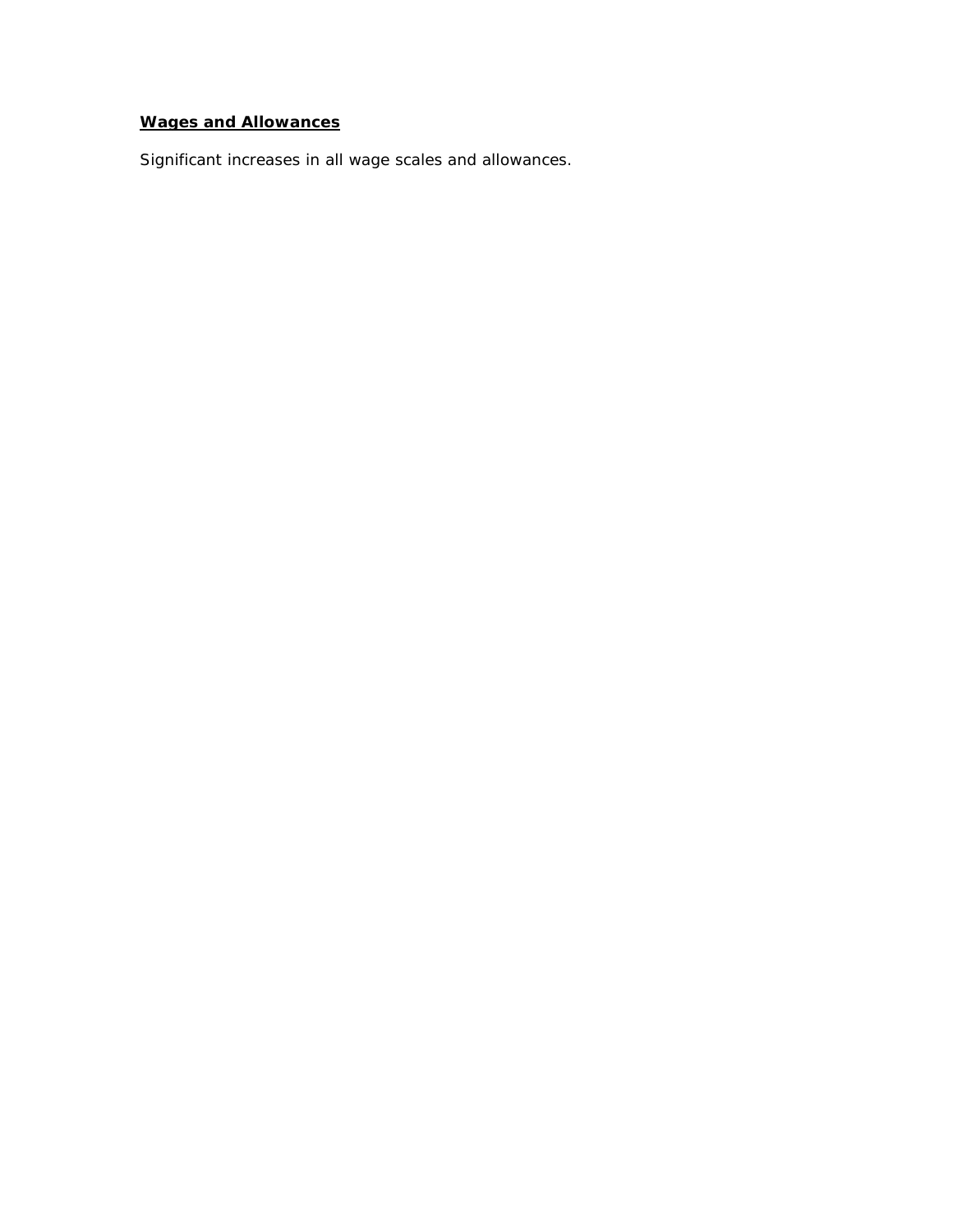# **Wages and Allowances**

*Significant increases in all wage scales and allowances.*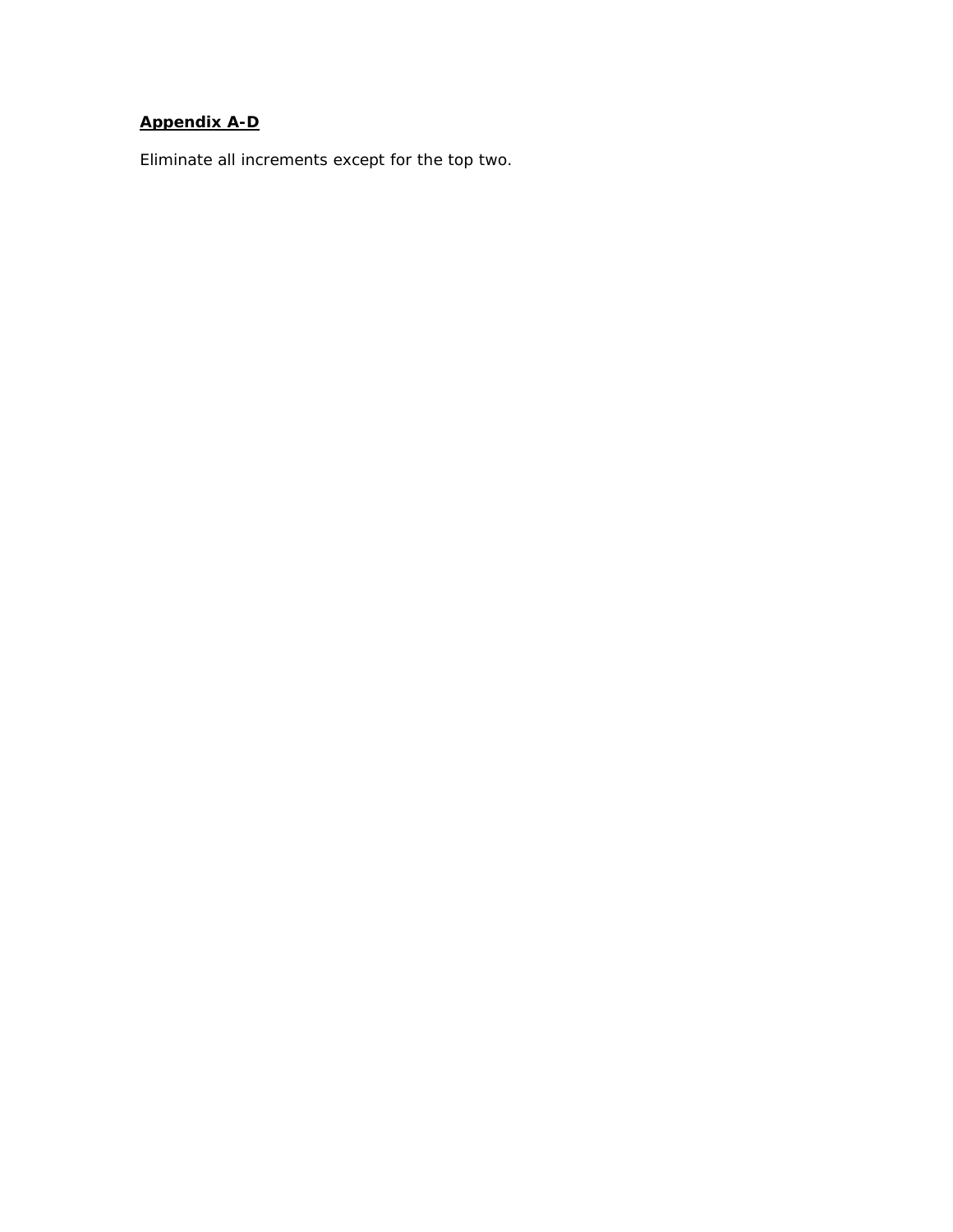# **Appendix A-D**

*Eliminate all increments except for the top two.*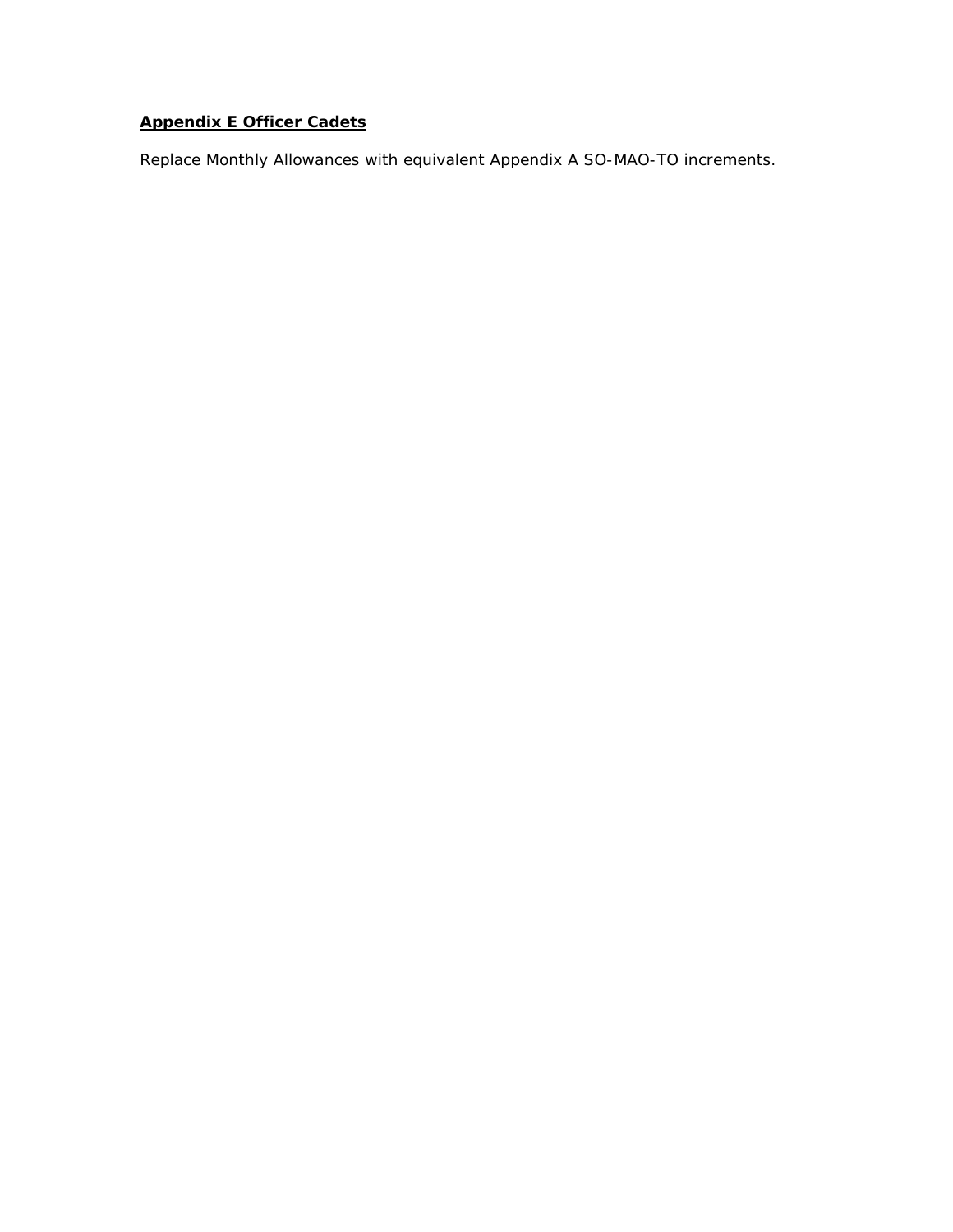# **Appendix E Officer Cadets**

*Replace Monthly Allowances with equivalent Appendix A SO-MAO-TO increments.*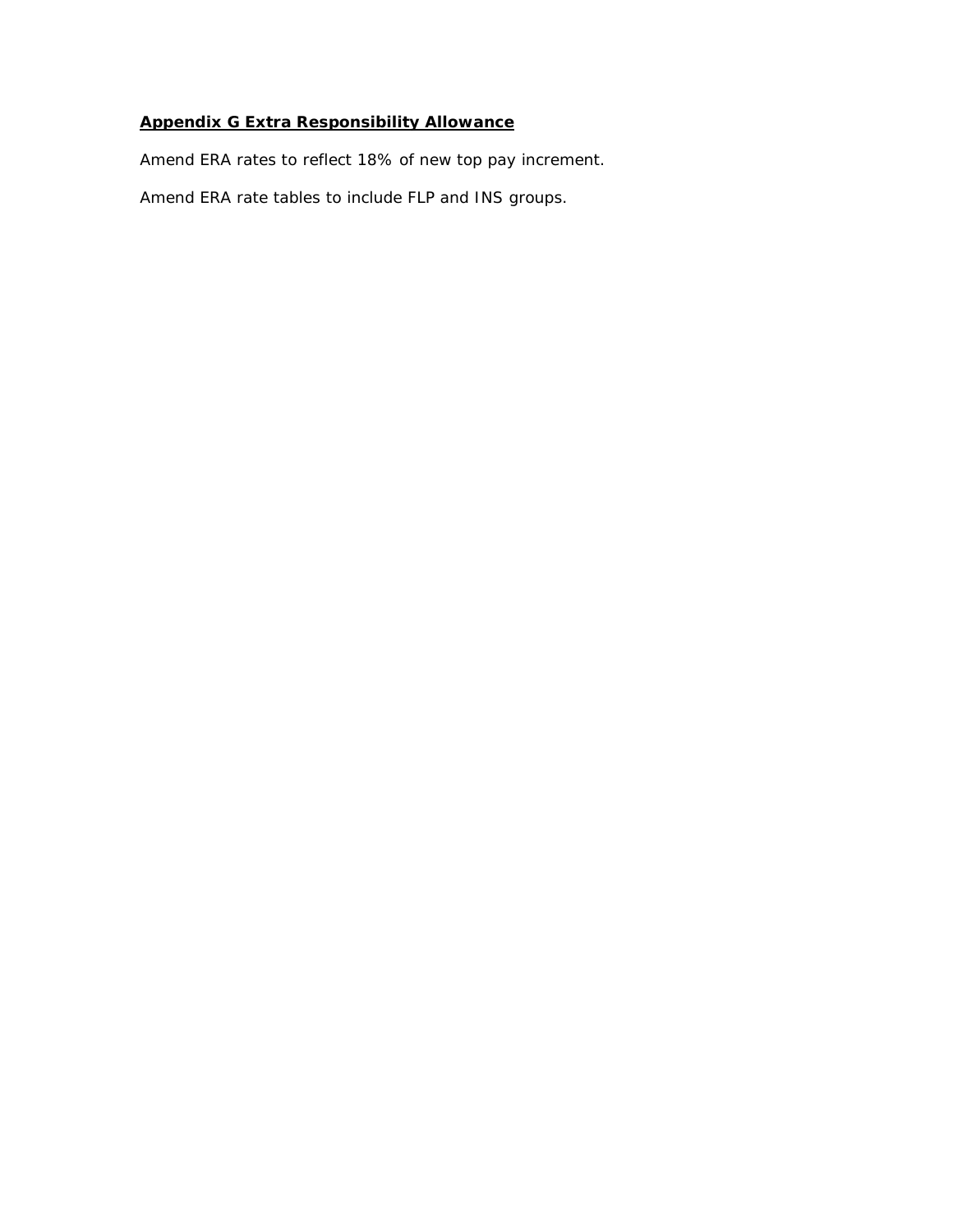# **Appendix G Extra Responsibility Allowance**

*Amend ERA rates to reflect 18% of new top pay increment. Amend ERA rate tables to include FLP and INS groups.*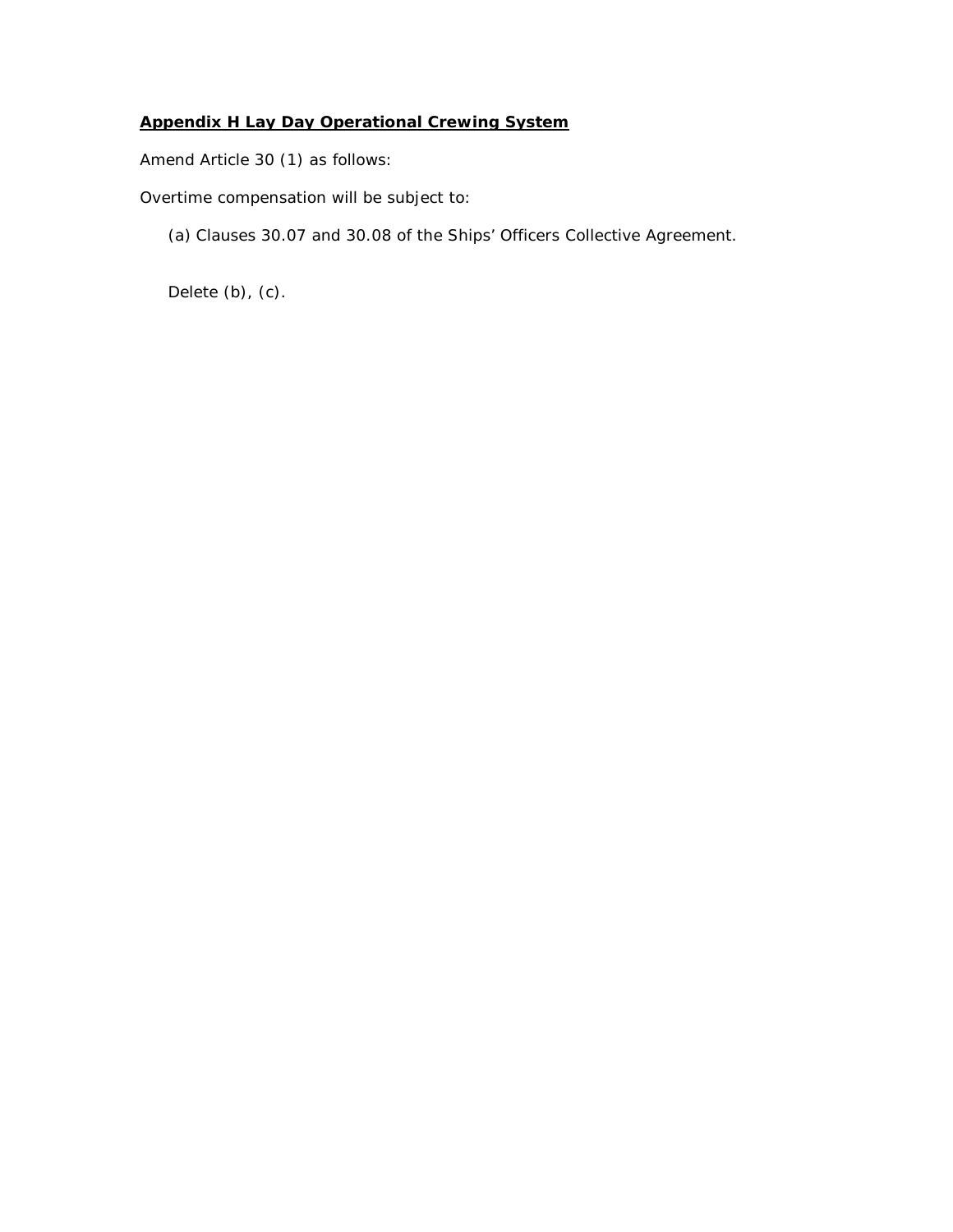# **Appendix H Lay Day Operational Crewing System**

*Amend Article 30 (1) as follows:*

Overtime compensation will be subject to:

(a) Clauses 30.07 and 30.08 of the Ships' Officers Collective Agreement.

Delete (b), (c).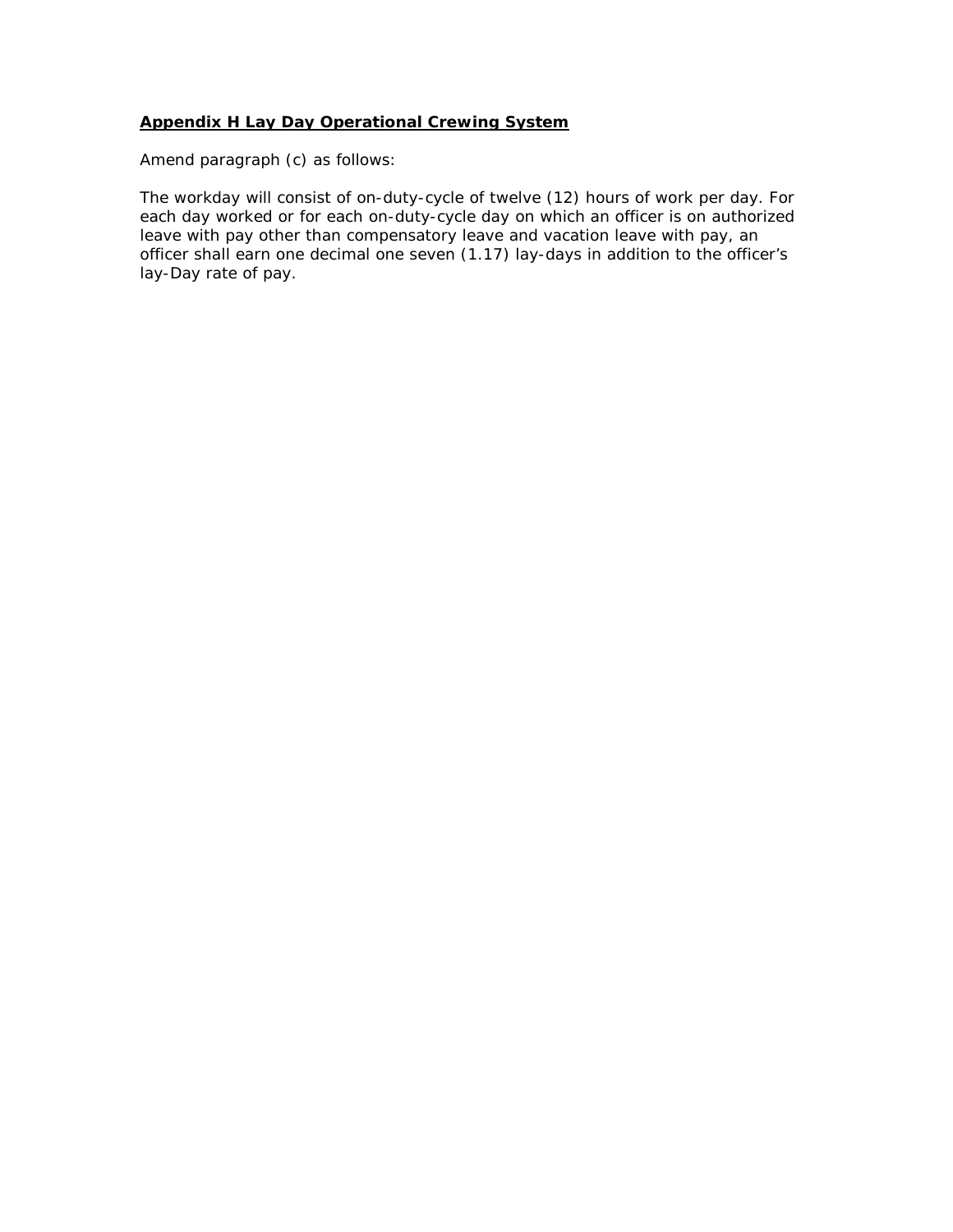#### **Appendix H Lay Day Operational Crewing System**

*Amend paragraph (c) as follows:*

The workday will consist of on-duty-cycle of twelve (12) hours of work per day. For each day worked or for each on-duty-cycle day on which an officer is on authorized leave with pay other than compensatory leave and vacation leave with pay, an officer shall earn one decimal one seven (1.17) lay-days in addition to the officer's lay-Day rate of pay.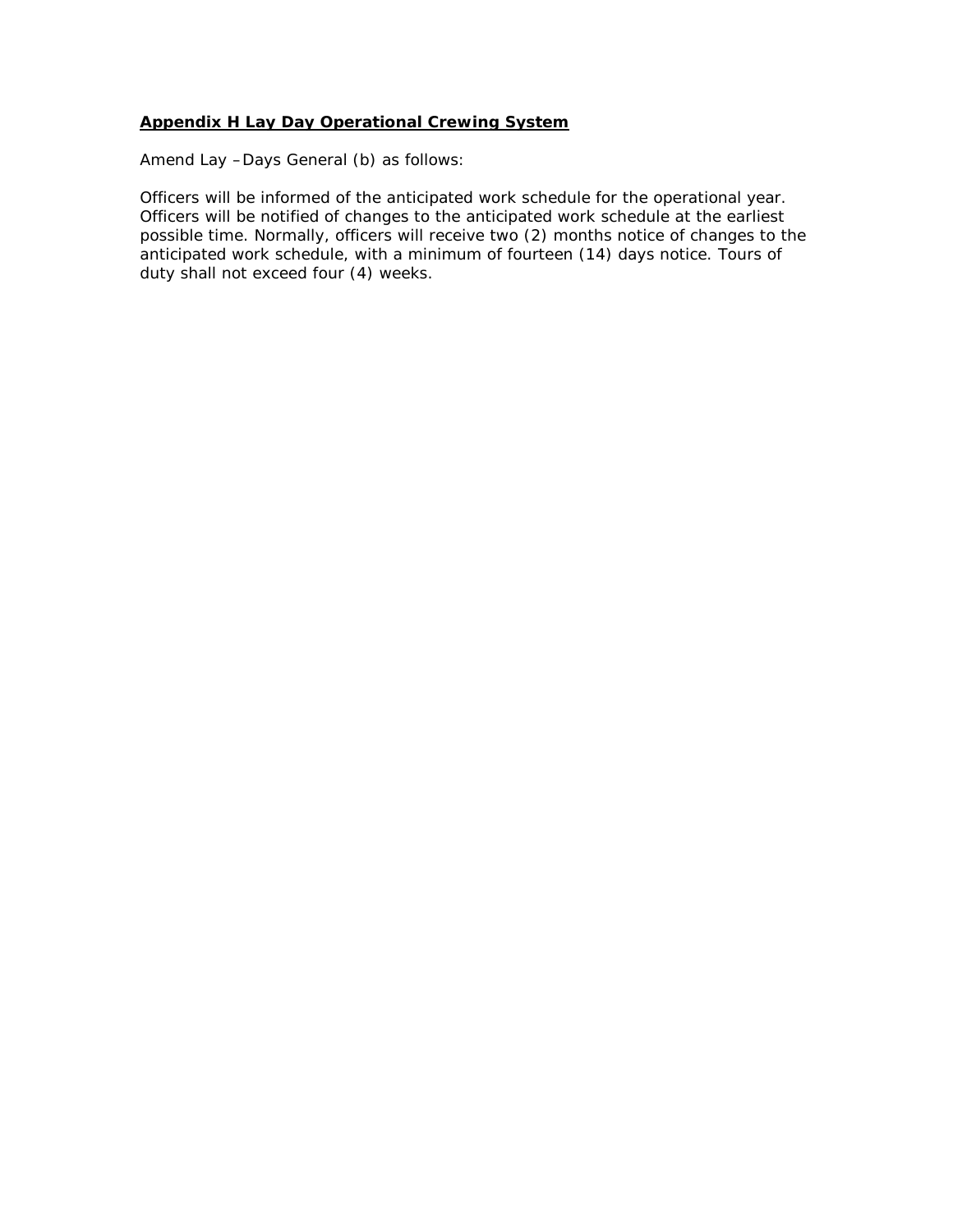#### **Appendix H Lay Day Operational Crewing System**

*Amend Lay –Days General (b) as follows:*

Officers will be informed of the anticipated work schedule for the operational year. Officers will be notified of changes to the anticipated work schedule at the earliest possible time. Normally, officers will receive two (2) months notice of changes to the anticipated work schedule, with a minimum of fourteen (14) days notice. *Tours of duty shall not exceed four (4) weeks.*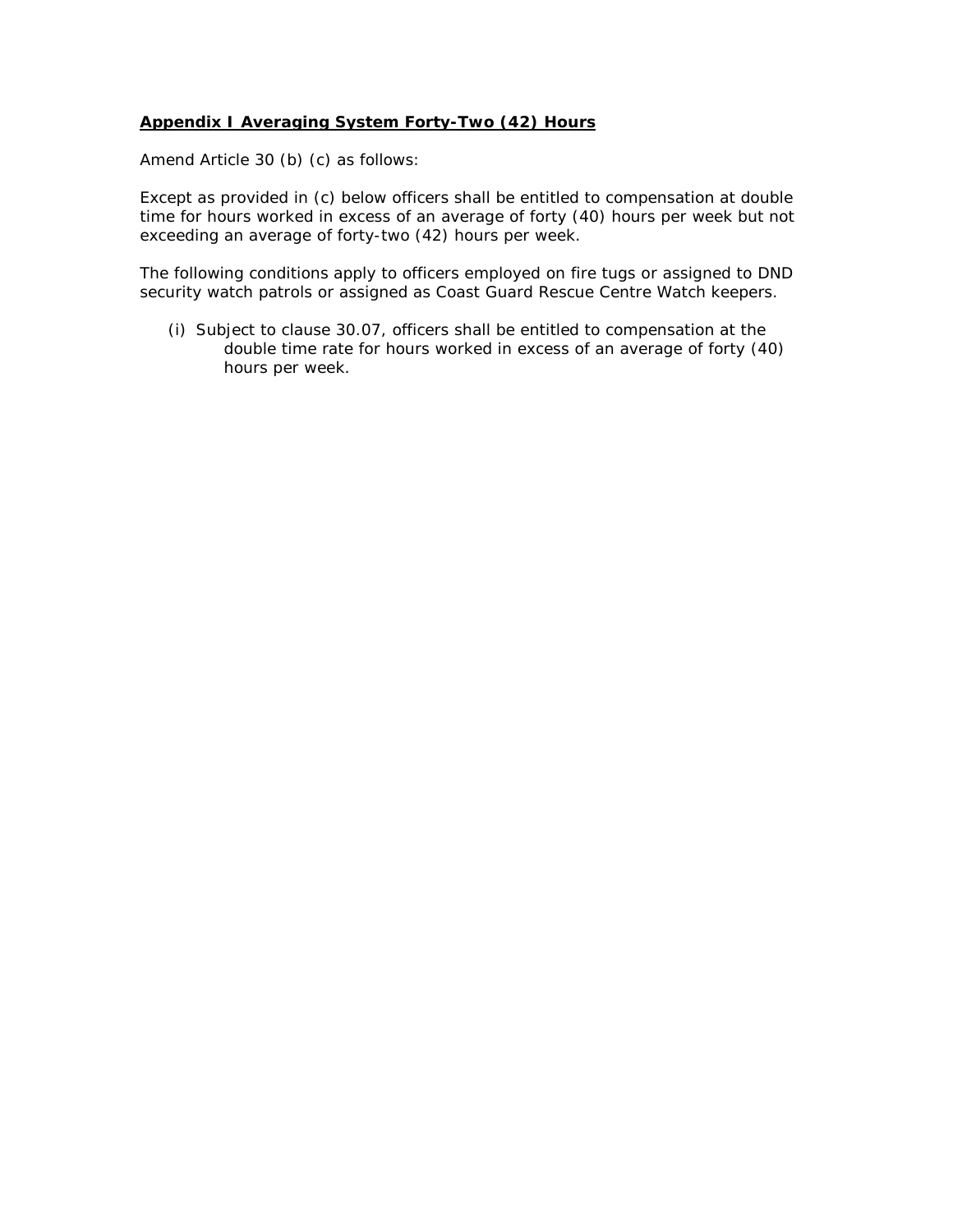#### **Appendix I Averaging System Forty-Two (42) Hours**

*Amend Article 30 (b) (c) as follows:*

Except as provided in (c) below officers shall be entitled to compensation at double time for hours worked in excess of an average of forty (40) hours per week but not exceeding an average of forty-two (42) hours per week.

The following conditions apply to officers employed on fire tugs or assigned to DND security watch patrols or assigned as Coast Guard Rescue Centre Watch keepers.

(i) Subject to clause 30.07, officers shall be entitled to compensation at the double time rate for hours worked in excess of an average of forty (40) hours per week.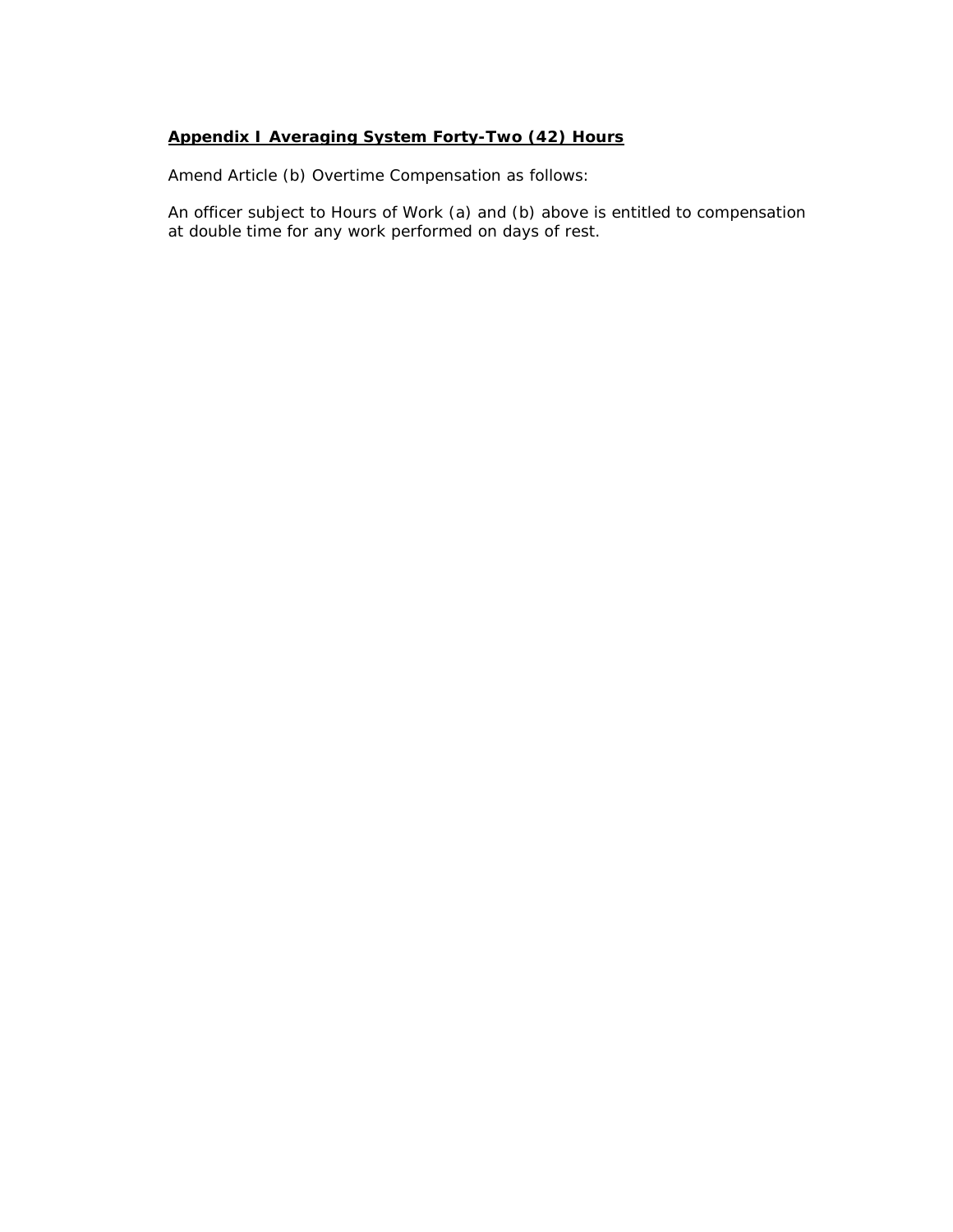#### **Appendix I Averaging System Forty-Two (42) Hours**

*Amend Article (b) Overtime Compensation as follows:*

An officer subject to Hours of Work (a) and (b) above is entitled to compensation at double time for any work performed on days of rest.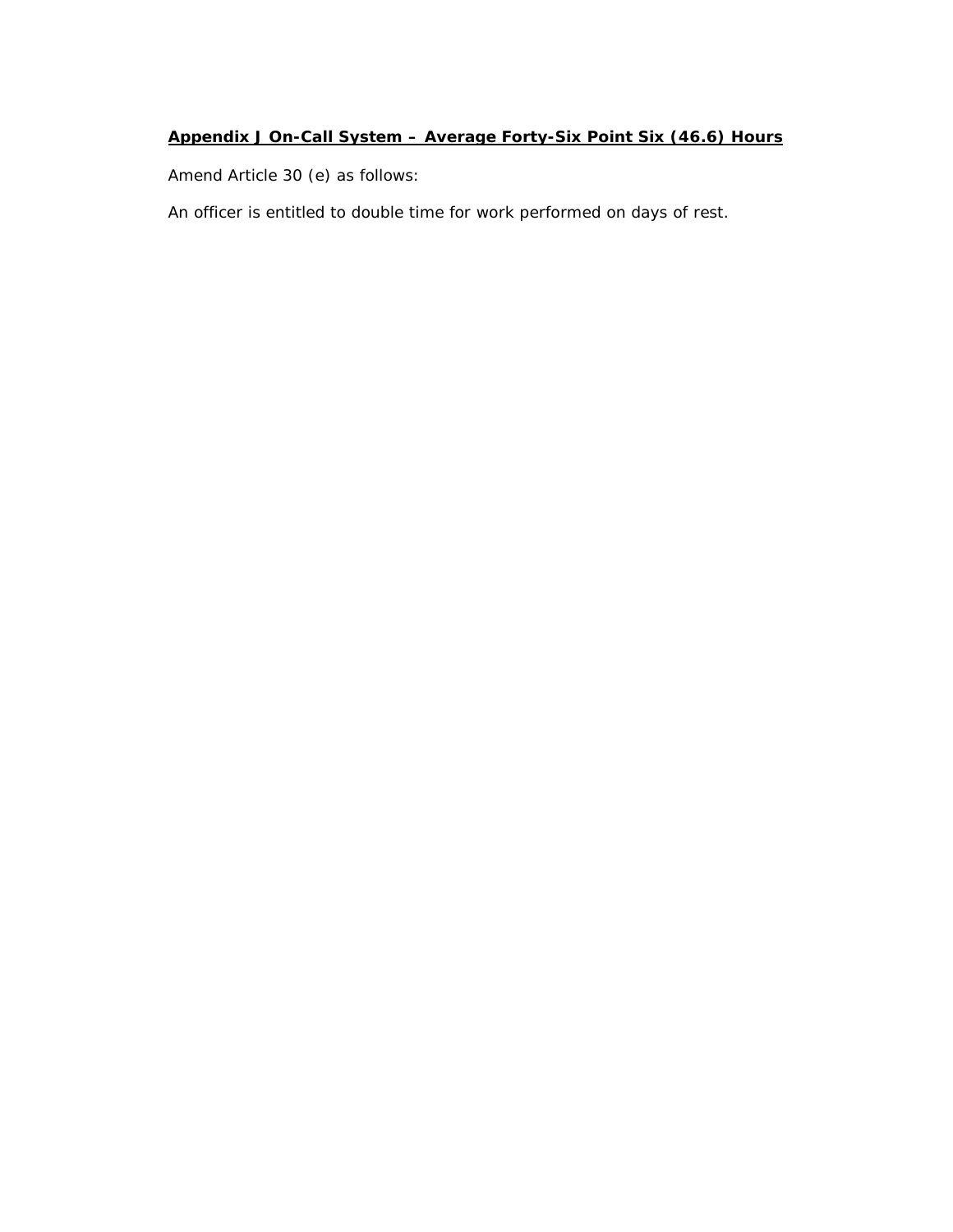### **Appendix J On-Call System – Average Forty-Six Point Six (46.6) Hours**

*Amend Article 30 (e) as follows:*

An officer is entitled to double time for work performed on days of rest.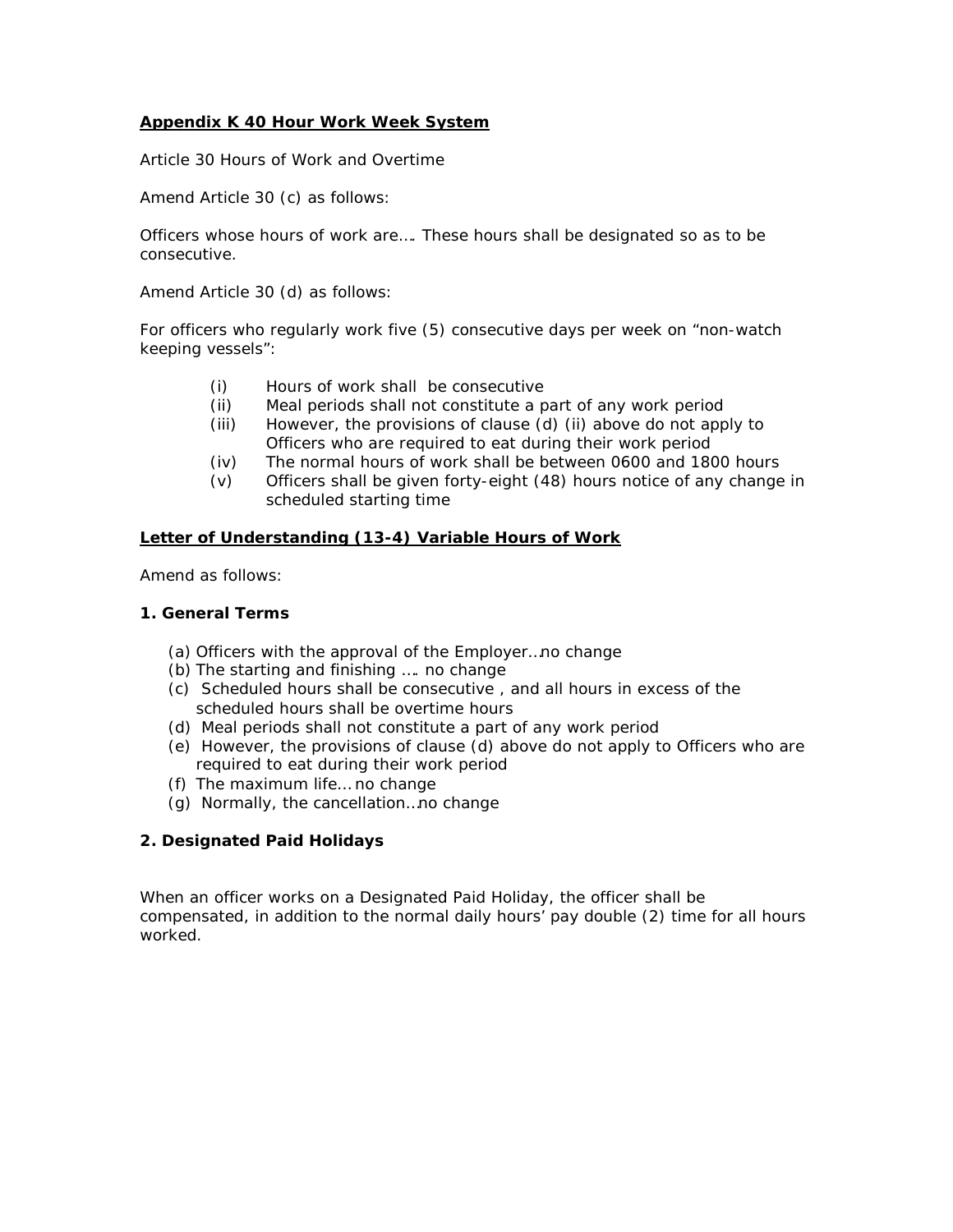#### **Appendix K 40 Hour Work Week System**

Article 30 Hours of Work and Overtime

*Amend Article 30 (c) as follows:*

Officers whose hours of work are…. *These hours shall be designated so as to be consecutive.*

*Amend Article 30 (d) as follows:*

For officers who regularly work five (5) consecutive days per week on "non-watch keeping vessels":

- *(i) Hours of work shall be consecutive*
- *(ii) Meal periods shall not constitute a part of any work period*
- *(iii) However, the provisions of clause (d) (ii) above do not apply to Officers who are required to eat during their work period*
- (iv) The normal hours of work shall be between 0600 and 1800 hours
- (v) Officers shall be given forty-eight (48) hours notice of any change in scheduled starting time

#### *Letter of Understanding (13-4) Variable Hours of Work*

*Amend as follows:*

#### *1. General Terms*

- (a) Officers with the approval of the Employer…*no change*
- (b) The starting and finishing …. *no change*
- *(c) Scheduled hours shall be consecutive , and all hours in excess of the scheduled hours shall be overtime hours*
- *(d) Meal periods shall not constitute a part of any work period*
- *(e) However, the provisions of clause (d) above do not apply to Officers who are required to eat during their work period*
- (f) The maximum life… *no change*
- (g) Normally, the cancellation…*no change*

#### *2. Designated Paid Holidays*

When an officer works on a Designated Paid Holiday, the officer shall be compensated, *in addition to the normal daily hours' pay double (2) time for all hours worked.*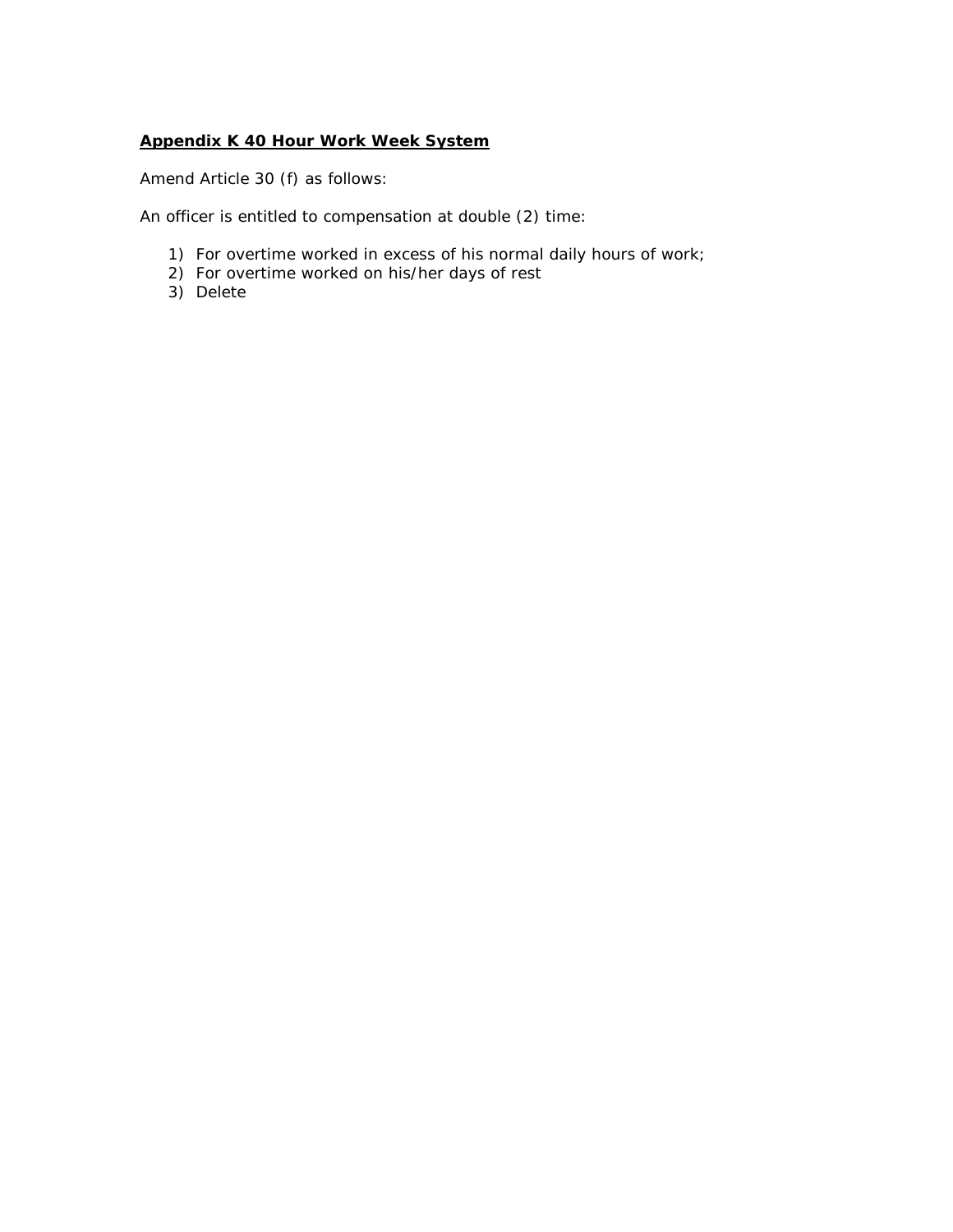#### **Appendix K 40 Hour Work Week System**

*Amend Article 30 (f) as follows:*

An officer is entitled to compensation at double (2) time:

- 1) For overtime worked in excess of his normal daily hours of work;
- 2) For overtime worked on his/her days of rest
- 3) Delete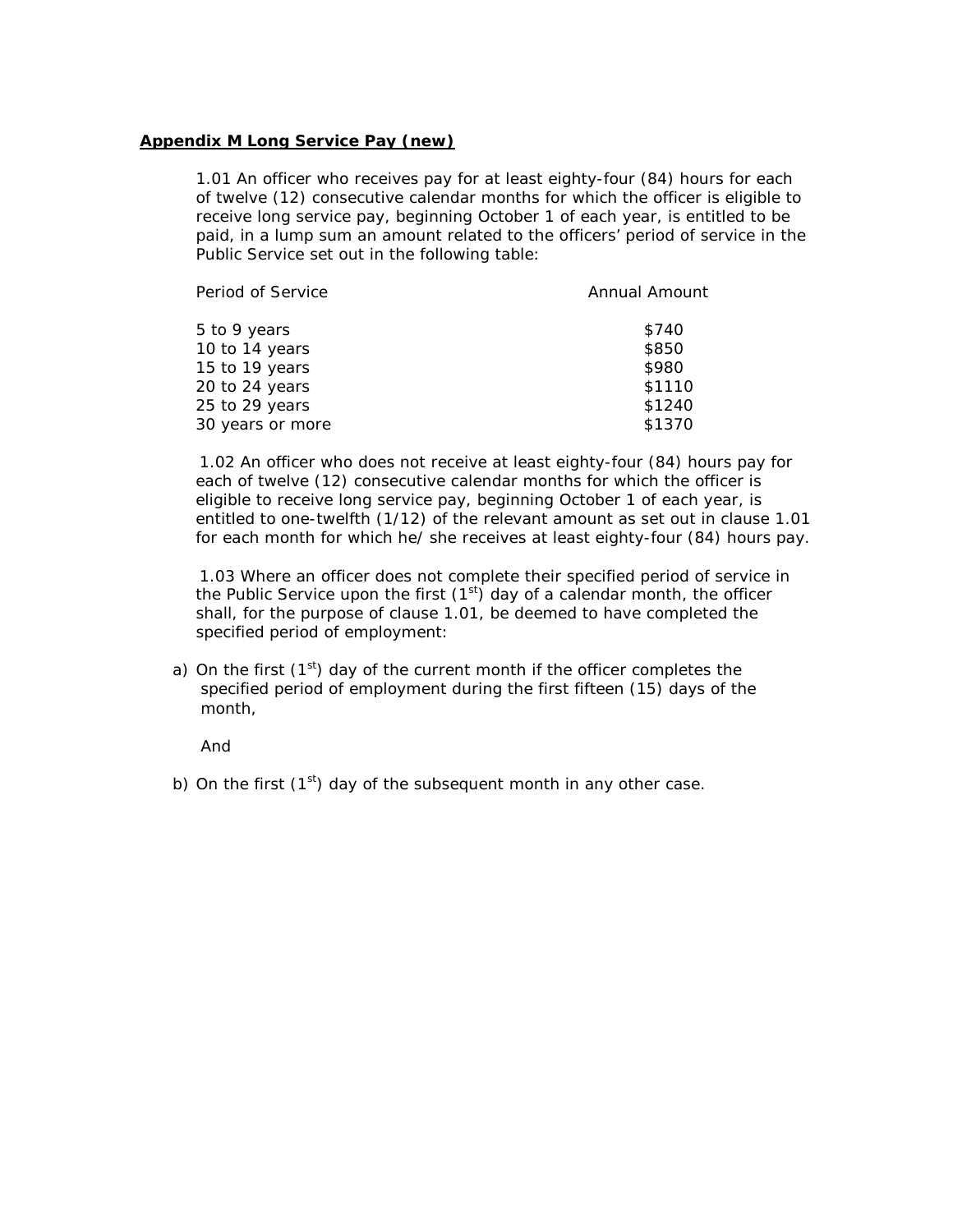#### **Appendix M Long Service Pay (new)**

1.01 An officer who receives pay for at least eighty-four (84) hours for each of twelve (12) consecutive calendar months for which the officer is eligible to receive long service pay, beginning October 1 of each year, is entitled to be paid, in a lump sum an amount related to the officers' period of service in the Public Service set out in the following table:

| <b>Annual Amount</b> |
|----------------------|
| \$740                |
| \$850                |
| \$980                |
| \$1110               |
| \$1240               |
| \$1370               |
|                      |

 1.02 An officer who does not receive at least eighty-four (84) hours pay for each of twelve (12) consecutive calendar months for which the officer is eligible to receive long service pay, beginning October 1 of each year, is entitled to one-twelfth (1/12) of the relevant amount as set out in clause 1.01 for each month for which he/ she receives at least eighty-four (84) hours pay.

 1.03 Where an officer does not complete their specified period of service in the Public Service upon the first  $(1<sup>st</sup>)$  day of a calendar month, the officer shall, for the purpose of clause 1.01, be deemed to have completed the specified period of employment:

a) On the first  $(1<sup>st</sup>)$  day of the current month if the officer completes the specified period of employment during the first fifteen (15) days of the month,

And

b) On the first  $(1<sup>st</sup>)$  day of the subsequent month in any other case.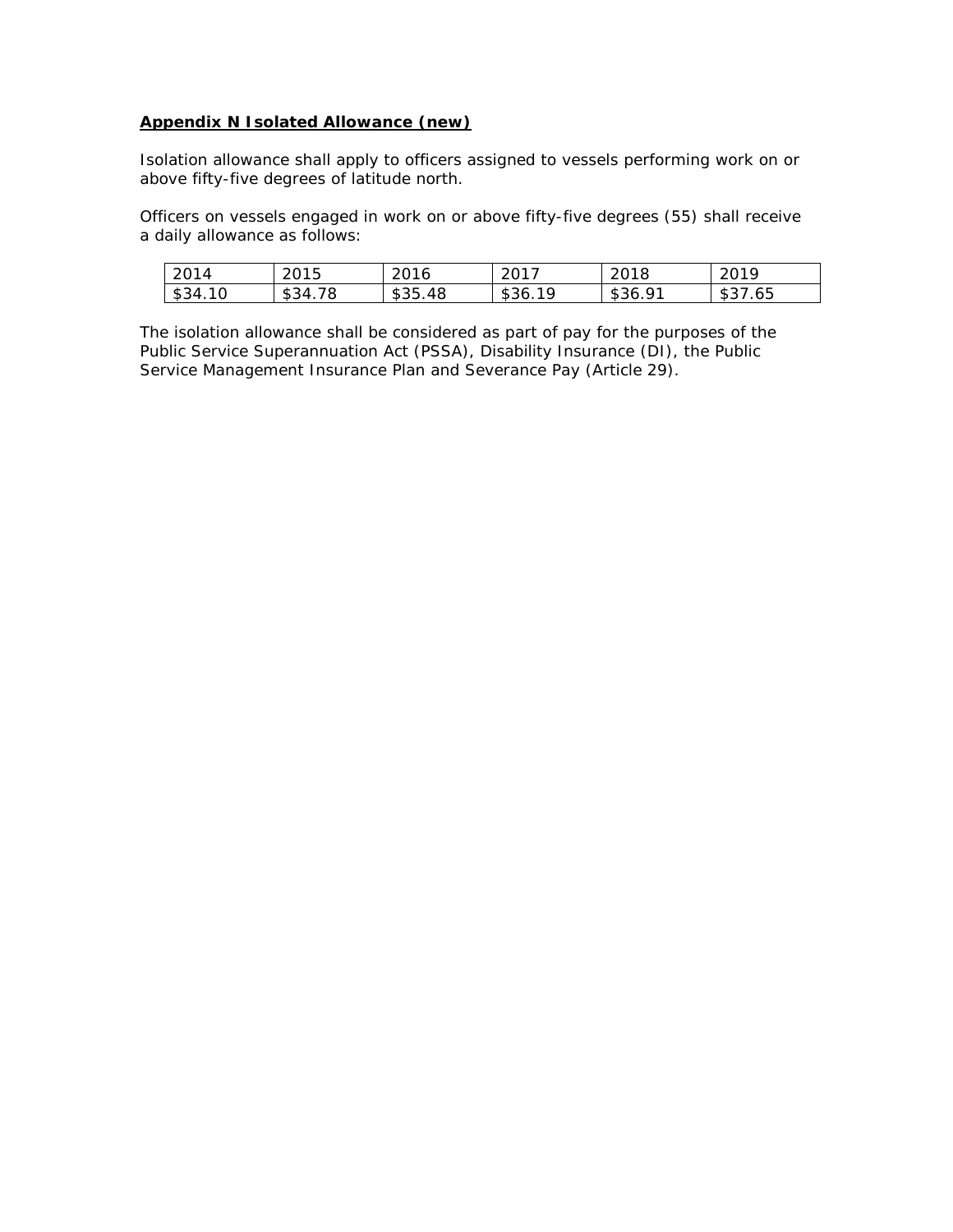#### **Appendix N Isolated Allowance (new)**

Isolation allowance shall apply to officers assigned to vessels performing work on or above fifty-five degrees of latitude north.

Officers on vessels engaged in work on or above fifty-five degrees (55) shall receive a daily allowance as follows:

| 2014    | 2015    | 2016    | 2017                     | 2018         | ാവ വ<br>2 U L 7 |
|---------|---------|---------|--------------------------|--------------|-----------------|
| \$34.10 | \$34.78 | \$35.48 | 1 Q<br>$1$ \$36. $\mu$ . | Q1<br>\$36.9 | \$37.65         |

The isolation allowance shall be considered as part of pay for the purposes of the Public Service Superannuation Act (PSSA), Disability Insurance (DI), the Public Service Management Insurance Plan and Severance Pay (Article 29).